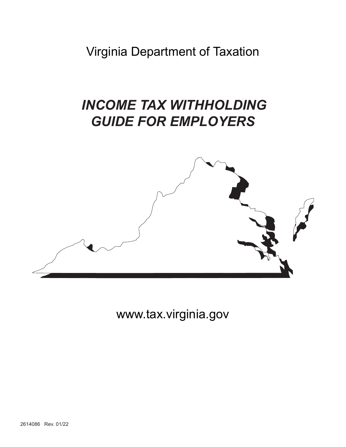Virginia Department of Taxation

# *INCOME TAX WITHHOLDING GUIDE FOR EMPLOYERS*



www.tax.virginia.gov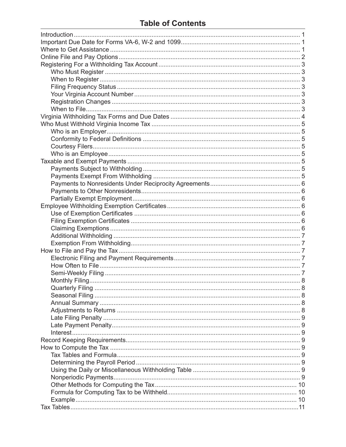# **Table of Contents**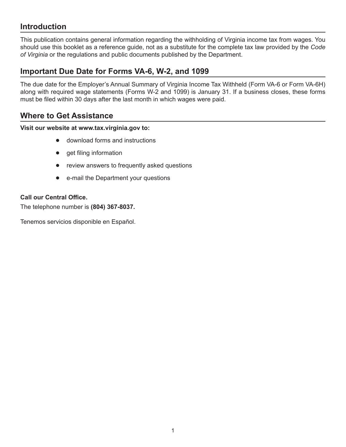# **Introduction**

This publication contains general information regarding the withholding of Virginia income tax from wages. You should use this booklet as a reference guide, not as a substitute for the complete tax law provided by the *Code of Virginia* or the regulations and public documents published by the Department.

# **Important Due Date for Forms VA-6, W-2, and 1099**

The due date for the Employer's Annual Summary of Virginia Income Tax Withheld (Form VA-6 or Form VA-6H) along with required wage statements (Forms W-2 and 1099) is January 31. If a business closes, these forms must be filed within 30 days after the last month in which wages were paid.

# **Where to Get Assistance**

## **Visit our website at www.tax.virginia.gov to:**

- download forms and instructions
- get filing information
- review answers to frequently asked questions
- e-mail the Department your questions

## **Call our Central Office.**

The telephone number is **(804) 367-8037.**

Tenemos servicios disponible en Español.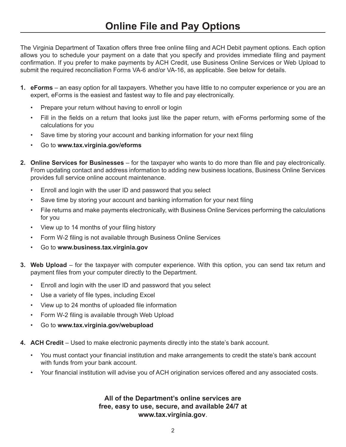The Virginia Department of Taxation offers three free online filing and ACH Debit payment options. Each option allows you to schedule your payment on a date that you specify and provides immediate filing and payment confirmation. If you prefer to make payments by ACH Credit, use Business Online Services or Web Upload to submit the required reconciliation Forms VA-6 and/or VA-16, as applicable. See below for details.

- **1. eForms** an easy option for all taxpayers. Whether you have little to no computer experience or you are an expert, eForms is the easiest and fastest way to file and pay electronically.
	- Prepare your return without having to enroll or login
	- Fill in the fields on a return that looks just like the paper return, with eForms performing some of the calculations for you
	- Save time by storing your account and banking information for your next filing
	- Go to **www.tax.virginia.gov/eforms**
- **2. Online Services for Businesses**  for the taxpayer who wants to do more than file and pay electronically. From updating contact and address information to adding new business locations, Business Online Services provides full service online account maintenance.
	- Enroll and login with the user ID and password that you select
	- Save time by storing your account and banking information for your next filing
	- File returns and make payments electronically, with Business Online Services performing the calculations for you
	- View up to 14 months of your filing history
	- Form W-2 filing is not available through Business Online Services
	- Go to **www.business.tax.virginia.gov**
- **3. Web Upload**  for the taxpayer with computer experience. With this option, you can send tax return and payment files from your computer directly to the Department.
	- Enroll and login with the user ID and password that you select
	- Use a variety of file types, including Excel
	- View up to 24 months of uploaded file information
	- Form W-2 filing is available through Web Upload
	- Go to **www.tax.virginia.gov/webupload**
- **4. ACH Credit**  Used to make electronic payments directly into the state's bank account.
	- You must contact your financial institution and make arrangements to credit the state's bank account with funds from your bank account.
	- Your financial institution will advise you of ACH origination services offered and any associated costs.

# **All of the Department's online services are free, easy to use, secure, and available 24/7 at www.tax.virginia.gov**.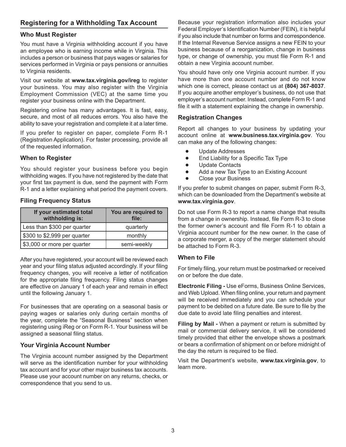# **Registering for a Withholding Tax Account**

## **Who Must Register**

You must have a Virginia withholding account if you have an employee who is earning income while in Virginia. This includes a person or business that pays wages or salaries for services performed in Virginia or pays pensions or annuities to Virginia residents.

Visit our website at **www.tax.virginia.gov/ireg** to register your business. You may also register with the Virginia Employment Commission (VEC) at the same time you register your business online with the Department.

Registering online has many advantages. It is fast, easy, secure, and most of all reduces errors. You also have the ability to save your registration and complete it at a later time.

If you prefer to register on paper, complete Form R-1 (Registration Application). For faster processing, provide all of the requested information.

#### **When to Register**

You should register your business before you begin withholding wages. If you have not registered by the date that your first tax payment is due, send the payment with Form R-1 and a letter explaining what period the payment covers.

#### **Filing Frequency Status**

| If your estimated total<br>withholding is: | You are required to<br>file: |
|--------------------------------------------|------------------------------|
| Less than \$300 per quarter                | quarterly                    |
| \$300 to \$2,999 per quarter               | monthly                      |
| \$3,000 or more per quarter                | semi-weekly                  |

After you have registered, your account will be reviewed each year and your filing status adjusted accordingly. If your filing frequency changes, you will receive a letter of notification for the appropriate filing frequency. Filing status changes are effective on January 1 of each year and remain in effect until the following January 1.

For businesses that are operating on a seasonal basis or paying wages or salaries only during certain months of the year, complete the "Seasonal Business" section when registering using iReg or on Form R-1. Your business will be assigned a seasonal filing status.

#### **Your Virginia Account Number**

The Virginia account number assigned by the Department will serve as the identification number for your withholding tax account and for your other major business tax accounts. Please use your account number on any returns, checks, or correspondence that you send to us.

Because your registration information also includes your Federal Employer's Identification Number (FEIN), it is helpful if you also include that number on forms and correspondence. If the Internal Revenue Service assigns a new FEIN to your business because of a reorganization, change in business type, or change of ownership, you must file Form R-1 and obtain a new Virginia account number.

You should have only one Virginia account number. If you have more than one account number and do not know which one is correct, please contact us at **(804) 367-8037**. If you acquire another employer's business, do not use that employer's account number. Instead, complete Form R-1 and file it with a statement explaining the change in ownership.

## **Registration Changes**

Report all changes to your business by updating your account online at **www.business.tax.virginia.gov**. You can make any of the following changes:

- **•** Update Addresses
- **•** End Liability for a Specific Tax Type
- Update Contacts
- Add a new Tax Type to an Existing Account
- c Close your Business

If you prefer to submit changes on paper, submit Form R-3, which can be downloaded from the Department's website at **www.tax.virginia.gov**.

Do not use Form R-3 to report a name change that results from a change in ownership. Instead, file Form R-3 to close the former owner's account and file Form R-1 to obtain a Virginia account number for the new owner. In the case of a corporate merger, a copy of the merger statement should be attached to Form R-3.

## **When to File**

For timely filing, your return must be postmarked or received on or before the due date.

**Electronic Filing -** Use eForms, Business Online Services, and Web Upload. When filing online, your return and payment will be received immediately and you can schedule your payment to be debited on a future date. Be sure to file by the due date to avoid late filing penalties and interest.

**Filing by Mail -** When a payment or return is submitted by mail or commercial delivery service, it will be considered timely provided that either the envelope shows a postmark or bears a confirmation of shipment on or before midnight of the day the return is required to be filed.

Visit the Department's website, **www.tax.virginia.gov**, to learn more.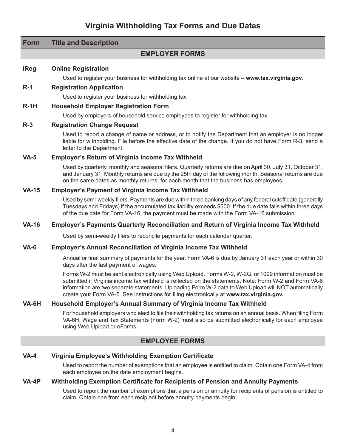# **Virginia Withholding Tax Forms and Due Dates**

| <b>Form</b>  | <b>Title and Description</b>                                                                                                                                                                                                                                                                                                                                                                                          |
|--------------|-----------------------------------------------------------------------------------------------------------------------------------------------------------------------------------------------------------------------------------------------------------------------------------------------------------------------------------------------------------------------------------------------------------------------|
|              | <b>EMPLOYER FORMS</b>                                                                                                                                                                                                                                                                                                                                                                                                 |
| iReg         | <b>Online Registration</b>                                                                                                                                                                                                                                                                                                                                                                                            |
|              | Used to register your business for withholding tax online at our website - www.tax.virginia.gov.                                                                                                                                                                                                                                                                                                                      |
| $R-1$        | <b>Registration Application</b>                                                                                                                                                                                                                                                                                                                                                                                       |
|              | Used to register your business for withholding tax.                                                                                                                                                                                                                                                                                                                                                                   |
| $R-1H$       | <b>Household Employer Registration Form</b>                                                                                                                                                                                                                                                                                                                                                                           |
|              | Used by employers of household service employees to register for withholding tax.                                                                                                                                                                                                                                                                                                                                     |
| $R-3$        | <b>Registration Change Request</b>                                                                                                                                                                                                                                                                                                                                                                                    |
|              | Used to report a change of name or address, or to notify the Department that an employer is no longer<br>liable for withholding. File before the effective date of the change. If you do not have Form R-3, send a<br>letter to the Department.                                                                                                                                                                       |
| $VA-5$       | <b>Employer's Return of Virginia Income Tax Withheld</b>                                                                                                                                                                                                                                                                                                                                                              |
|              | Used by quarterly, monthly and seasonal filers. Quarterly returns are due on April 30, July 31, October 31,<br>and January 31. Monthly returns are due by the 25th day of the following month. Seasonal returns are due<br>on the same dates as monthly returns, for each month that the business has employees.                                                                                                      |
| $VA-15$      | <b>Employer's Payment of Virginia Income Tax Withheld</b>                                                                                                                                                                                                                                                                                                                                                             |
|              | Used by semi-weekly filers. Payments are due within three banking days of any federal cutoff date (generally<br>Tuesdays and Fridays) if the accumulated tax liability exceeds \$500. If the due date falls within three days<br>of the due date for Form VA-16, the payment must be made with the Form VA-16 submission.                                                                                             |
| <b>VA-16</b> | Employer's Payments Quarterly Reconciliation and Return of Virginia Income Tax Withheld                                                                                                                                                                                                                                                                                                                               |
|              | Used by semi-weekly filers to reconcile payments for each calendar quarter.                                                                                                                                                                                                                                                                                                                                           |
| <b>VA-6</b>  | <b>Employer's Annual Reconciliation of Virginia Income Tax Withheld</b>                                                                                                                                                                                                                                                                                                                                               |
|              | Annual or final summary of payments for the year. Form VA-6 is due by January 31 each year or within 30<br>days after the last payment of wages.                                                                                                                                                                                                                                                                      |
|              | Forms W-2 must be sent electronically using Web Upload. Forms W-2, W-2G, or 1099 information must be<br>submitted if Virginia income tax withheld is reflected on the statements. Note: Form W-2 and Form VA-6<br>information are two separate statements. Uploading Form W-2 data to Web Upload will NOT automatically<br>create your Form VA-6. See instructions for filing electronically at www.tax.virginia.gov. |
| VA-6H        | Household Employer's Annual Summary of Virginia Income Tax Withheld                                                                                                                                                                                                                                                                                                                                                   |
|              | For household employers who elect to file their withholding tax returns on an annual basis. When filing Form<br>VA-6H, Wage and Tax Statements (Form W-2) must also be submitted electronically for each employee<br>using Web Upload or eForms.                                                                                                                                                                      |
|              | <b>EMPLOYEE FORMS</b>                                                                                                                                                                                                                                                                                                                                                                                                 |
| $VA-4$       | Virginia Employee's Withholding Exemption Certificate                                                                                                                                                                                                                                                                                                                                                                 |

Used to report the number of exemptions that an employee is entitled to claim. Obtain one Form VA-4 from each employee on the date employment begins.

#### **VA-4P Withholding Exemption Certificate for Recipients of Pension and Annuity Payments**

Used to report the number of exemptions that a pension or annuity for recipients of pension is entitled to claim. Obtain one from each recipient before annuity payments begin.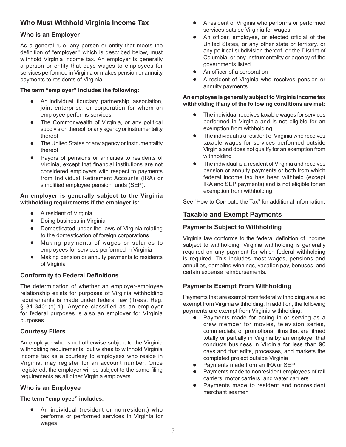## **Who is an Employer**

As a general rule, any person or entity that meets the definition of "employer," which is described below, must withhold Virginia income tax. An employer is generally a person or entity that pays wages to employees for services performed in Virginia or makes pension or annuity payments to residents of Virginia.

#### **The term "employer" includes the following:**

- An individual, fiduciary, partnership, association, joint enterprise, or corporation for whom an employee performs services
- The Commonwealth of Virginia, or any political subdivision thereof, or any agency or instrumentality thereof
- The United States or any agency or instrumentality thereof
- Payors of pensions or annuities to residents of Virginia, except that financial institutions are not considered employers with respect to payments from Individual Retirement Accounts (IRA) or simplified employee pension funds (SEP).

#### **An employer is generally subject to the Virginia withholding requirements if the employer is:**

- A resident of Virginia
- Doing business in Virginia
- Domesticated under the laws of Virginia relating to the domestication of foreign corporations
- Making payments of wages or salaries to employees for services performed in Virginia
- Making pension or annuity payments to residents of Virginia

## **Conformity to Federal Definitions**

The determination of whether an employer-employee relationship exists for purposes of Virginia withholding requirements is made under federal law (Treas. Reg. § 31.3401(c)-1). Anyone classified as an employer for federal purposes is also an employer for Virginia purposes.

## **Courtesy Filers**

An employer who is not otherwise subject to the Virginia withholding requirements, but wishes to withhold Virginia income tax as a courtesy to employees who reside in Virginia, may register for an account number. Once registered, the employer will be subject to the same filing requirements as all other Virginia employers.

## **Who is an Employee**

## **The term "employee" includes:**

An individual (resident or nonresident) who performs or performed services in Virginia for wages

- A resident of Virginia who performs or performed services outside Virginia for wages
- An officer, employee, or elected official of the United States, or any other state or territory, or any political subdivision thereof, or the District of Columbia, or any instrumentality or agency of the governments listed
- An officer of a corporation
- A resident of Virginia who receives pension or annuity payments

#### **An employee is generally subject to Virginia income tax withholding if any of the following conditions are met:**

- The individual receives taxable wages for services performed in Virginia and is not eligible for an exemption from withholding
- The individual is a resident of Virginia who receives taxable wages for services performed outside Virginia and does not qualify for an exemption from withholding
- The individual is a resident of Virginia and receives pension or annuity payments or both from which federal income tax has been withheld (except IRA and SEP payments) and is not eligible for an exemption from withholding

See "How to Compute the Tax" for additional information.

# **Taxable and Exempt Payments**

## **Payments Subject to Withholding**

Virginia law conforms to the federal definition of income subject to withholding. Virginia withholding is generally required on any payment for which federal withholding is required. This includes most wages, pensions and annuities, gambling winnings, vacation pay, bonuses, and certain expense reimbursements.

## **Payments Exempt From Withholding**

Payments that are exempt from federal withholding are also exempt from Virginia withholding. In addition, the following payments are exempt from Virginia withholding:

- Payments made for acting in or serving as a crew member for movies, television series, commercials, or promotional films that are filmed totally or partially in Virginia by an employer that conducts business in Virginia for less than 90 days and that edits, processes, and markets the completed project outside Virginia
- Payments made from an IRA or SEP
- Payments made to nonresident employees of rail carriers, motor carriers, and water carriers
- Payments made to resident and nonresident merchant seamen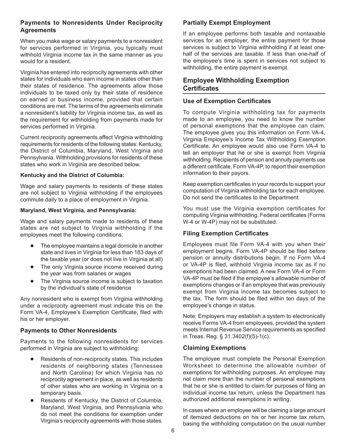## **Payments to Nonresidents Under Reciprocity Agreements**

When you make wage or salary payments to a nonresident for services performed in Virginia, you typically must withhold Virginia income tax in the same manner as you would for a resident.

Virginia has entered into reciprocity agreements with other states for individuals who earn income in states other than their states of residence. The agreements allow those individuals to be taxed only by their state of residence on earned or business income, provided that certain conditions are met. The terms of the agreements eliminate a nonresident's liability for Virginia income tax, as well as the requirement for withholding from payments made for services performed in Virginia.

Current reciprocity agreements affect Virginia withholding requirements for residents of the following states: Kentucky, the District of Columbia, Maryland, West Virginia and Pennsylvania. Withholding provisions for residents of these states who work in Virginia are described below.

#### **Kentucky and the District of Columbia:**

Wage and salary payments to residents of these states are not subject to Virginia withholding if the employees commute daily to a place of employment in Virginia.

#### **Maryland, West Virginia, and Pennsylvania:**

Wage and salary payments made to residents of these states are not subject to Virginia withholding if the employees meet the following conditions:

- The employee maintains a legal domicile in another state and lives in Virginia for less than 183 days of the taxable year (or does not live in Virginia at all)
- The only Virginia source income received during the year was from salaries or wages
- The Virginia source income is subject to taxation by the individual's state of residence

Any nonresident who is exempt from Virginia withholding under a reciprocity agreement must indicate this on the Form VA-4, Employee's Exemption Certificate, filed with his or her employer.

## **Payments to Other Nonresidents**

Payments to the following nonresidents for services performed in Virginia are subject to withholding:

- Residents of non-reciprocity states. This includes residents of neighboring states (Tennessee and North Carolina) for which Virginia has no reciprocity agreement in place, as well as residents of other states who are working in Virginia on a temporary basis.
- Residents of Kentucky, the District of Columbia, Maryland, West Virginia, and Pennsylvania who do not meet the conditions for exemption under Virginia's reciprocity agreements with those states.

## **Partially Exempt Employment**

If an employee performs both taxable and nontaxable services for an employer, the entire payment for those services is subject to Virginia withholding if at least onehalf of the services are taxable. If less than one-half of the employee's time is spent in services not subject to withholding, the entire payment is exempt.

# **Employee Withholding Exemption Certificates**

## **Use of Exemption Certificates**

To compute Virginia withholding tax for payments made to an employee, you need to know the number of personal exemptions that the employee can claim. The employee gives you this information on Form VA-4, Virginia Employee's Income Tax Withholding Exemption Certificate. An employee would also use Form VA-4 to tell an employer that he or she is exempt from Virginia withholding. Recipients of pension and annuity payments use a different certificate, Form VA-4P, to report their exemption information to their payors.

Keep exemption certificates in your records to support your computation of Virginia withholding tax for each employee. Do not send the certificates to the Department.

You must use the Virginia exemption certificates for computing Virginia withholding. Federal certificates (Forms W-4 or W-4P) may not be substituted.

## **Filing Exemption Certificates**

Employees must file Form VA-4 with you when their employment begins. Form VA-4P should be filed before pension or annuity distributions begin. If no Form VA-4 or VA-4P is filed, withhold Virginia income tax as if no exemptions had been claimed. A new Form VA-4 or Form VA-4P must be filed if the employee's allowable number of exemptions changes or if an employee that was previously exempt from Virginia income tax becomes subject to the tax. The form should be filed within ten days of the employee's change in status.

Note: Employers may establish a system to electronically receive Forms VA-4 from employees, provided the system meets Internal Revenue Service requirements as specified in Treas. Reg. § 31.3402(f)(5)-1(c).

## **Claiming Exemptions**

The employee must complete the Personal Exemption Worksheet to determine the allowable number of exemptions for withholding purposes. An employee may not claim more than the number of personal exemptions that he or she is entitled to claim for purposes of filing an individual income tax return, unless the Department has authorized additional exemptions in writing.

In cases where an employee will be claiming a large amount of itemized deductions on his or her income tax return, basing the withholding computation on the usual number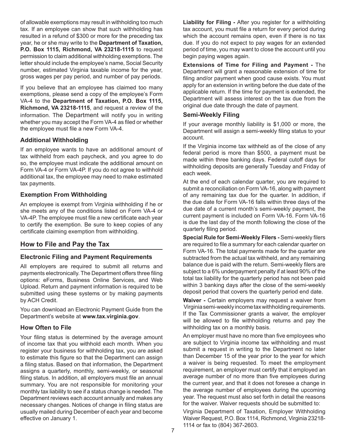of allowable exemptions may result in withholding too much tax. If an employee can show that such withholding has resulted in a refund of \$300 or more for the preceding tax year, he or she may write to the **Department of Taxation, P.O. Box 1115, Richmond, VA 23218-1115** to request permission to claim additional withholding exemptions. The letter should include the employee's name, Social Security number, estimated Virginia taxable income for the year, gross wages per pay period, and number of pay periods.

If you believe that an employee has claimed too many exemptions, please send a copy of the employee's Form VA-4 to the **Department of Taxation, P.O. Box 1115, Richmond, VA 23218-1115**, and request a review of the information. The Department will notify you in writing whether you may accept the Form VA-4 as filed or whether the employee must file a new Form VA-4.

## **Additional Withholding**

If an employee wants to have an additional amount of tax withheld from each paycheck, and you agree to do so, the employee must indicate the additional amount on Form VA-4 or Form VA-4P. If you do not agree to withhold additional tax, the employee may need to make estimated tax payments.

#### **Exemption From Withholding**

An employee is exempt from Virginia withholding if he or she meets any of the conditions listed on Form VA-4 or VA‑4P. The employee must file a new certificate each year to certify the exemption. Be sure to keep copies of any certificate claiming exemption from withholding.

## **How to File and Pay the Tax**

#### **Electronic Filing and Payment Requirements**

All employers are required to submit all returns and payments electronically. The Department offers three filing options: eForms, Business Online Services, and Web Upload. Return and payment information is required to be submitted using these systems or by making payments by ACH Credit.

You can download an Electronic Payment Guide from the Department's website at **www.tax.virginia.gov**.

#### **How Often to File**

Your filing status is determined by the average amount of income tax that you withhold each month. When you register your business for withholding tax, you are asked to estimate this figure so that the Department can assign a filing status. Based on that information, the Department assigns a quarterly, monthly, semi-weekly, or seasonal filing status. In addition, all employers must file an annual summary. You are not responsible for monitoring your monthly tax liability to see if a status change is needed. The Department reviews each account annually and makes any necessary changes. Notices of change in filing status are usually mailed during December of each year and become effective on January 1.

**Liability for Filing -** After you register for a withholding tax account, you must file a return for every period during which the account remains open, even if there is no tax due. If you do not expect to pay wages for an extended period of time, you may want to close the account until you begin paying wages again.

**Extensions of Time for Filing and Payment -** The Department will grant a reasonable extension of time for filing and/or payment when good cause exists. You must apply for an extension in writing before the due date of the applicable return. If the time for payment is extended, the Department will assess interest on the tax due from the original due date through the date of payment.

#### **Semi-Weekly Filing**

If your average monthly liability is \$1,000 or more, the Department will assign a semi-weekly filing status to your account.

If the Virginia income tax withheld as of the close of any federal period is more than \$500, a payment must be made within three banking days. Federal cutoff days for withholding deposits are generally Tuesday and Friday of each week.

At the end of each calendar quarter, you are required to submit a reconciliation on Form VA-16, along with payment of any remaining tax due for the quarter. In addition, if the due date for Form VA-16 falls within three days of the due date of a current month's semi-weekly payment, the current payment is included on Form VA-16. Form VA-16 is due the last day of the month following the close of the quarterly filing period.

**Special Rule for Semi-Weekly Filers -** Semi-weekly filers are required to file a summary for each calendar quarter on Form VA-16. The total payments made for the quarter are subtracted from the actual tax withheld, and any remaining balance due is paid with the return. Semi-weekly filers are subject to a 6% underpayment penalty if at least 90% of the total tax liability for the quarterly period has not been paid within 3 banking days after the close of the semi-weekly deposit period that covers the quarterly period end date.

**Waiver -** Certain employers may request a waiver from Virginiasemi-weeklyincome tax withholding requirements. If the Tax Commissioner grants a waiver, the employer will be allowed to file withholding returns and pay the withholding tax on a monthly basis.

An employer must have no more than five employees who are subject to Virginia income tax withholding and must submit a request in writing to the Department no later than December 15 of the year prior to the year for which a waiver is being requested. To meet the employment requirement, an employer must certify that it employed an average number of no more than five employees during the current year, and that it does not foresee a change in the average number of employees during the upcoming year. The request must also set forth in detail the reasons for the waiver. Waiver requests should be submitted to:

Virginia Department of Taxation, Employer Withholding Waiver Request, P.O. Box 1114, Richmond, Virginia 23218- 1114 or fax to (804) 367-2603.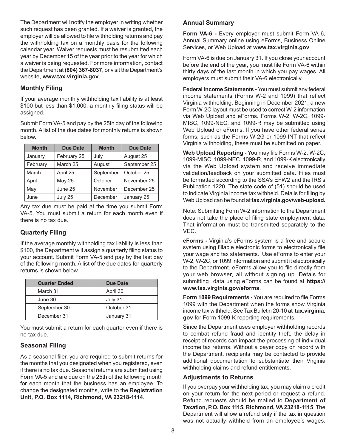The Department will notify the employer in writing whether such request has been granted. If a waiver is granted, the employer will be allowed to file withholding returns and pay the withholding tax on a monthly basis for the following calendar year. Waiver requests must be resubmitted each year by December 15 of the year prior to the year for which a waiver is being requested. For more information, contact the Department at **(804) 367-8037**, or visit the Department's website, **www.tax.virginia.gov**.

## **Monthly Filing**

If your average monthly withholding tax liability is at least \$100 but less than \$1,000, a monthly filing status will be assigned.

Submit Form VA-5 and pay by the 25th day of the following month. A list of the due dates for monthly returns is shown below.

| <b>Month</b> | <b>Due Date</b> | <b>Month</b> | <b>Due Date</b> |
|--------------|-----------------|--------------|-----------------|
| January      | February 25     | July         | August 25       |
| February     | March 25        | August       | September 25    |
| March        | April 25        | September    | October 25      |
| April        | <b>May 25</b>   | October      | November 25     |
| May          | June 25         | November     | December 25     |
| June         | July 25         | December     | January 25      |

Any tax due must be paid at the time you submit Form VA-5. You must submit a return for each month even if there is no tax due.

## **Quarterly Filing**

If the average monthly withholding tax liability is less than \$100, the Department will assign a quarterly filing status to your account. Submit Form VA-5 and pay by the last day of the following month. A list of the due dates for quarterly returns is shown below.

| <b>Quarter Ended</b> | Due Date   |
|----------------------|------------|
| March 31             | April 30   |
| June 30              | July 31    |
| September 30         | October 31 |
| December 31          | January 31 |

You must submit a return for each quarter even if there is no tax due.

## **Seasonal Filing**

As a seasonal filer, you are required to submit returns for the months that you designated when you registered, even if there is no tax due. Seasonal returns are submitted using Form VA-5 and are due on the 25th of the following month for each month that the business has an employee. To change the designated months, write to the **Registration Unit, P.O. Box 1114, Richmond, VA 23218-1114**.

## **Annual Summary**

**Form VA-6 -** Every employer must submit Form VA-6, Annual Summary online using eForms, Business Online Services, or Web Upload at **www.tax.virginia.gov**.

Form VA-6 is due on January 31. If you close your account before the end of the year, you must file Form VA-6 within thirty days of the last month in which you pay wages. All employers must submit their VA-6 electronically.

**Federal Income Statements -** You must submit any federal income statements (Forms W-2 and 1099) that reflect Virginia withholding. Beginning in December 2021, a new Form W-2C layout must be used to correct W-2 information via Web Upload and eForms. Forms W-2, W-2C, 1099- MISC, 1099-NEC, and 1099-R may be submitted using Web Upload or eForms. If you have other federal series forms, such as the Forms W-2G or 1099-INT that reflect Virginia withholding, these must be submitted on paper.

**Web Upload Reporting -** You may file Forms W-2, W-2C, 1099-MISC, 1099-NEC, 1099-R, and 1099-K electronically via the Web Upload system and receive immediate validation/feedback on your submitted data. Files must be formatted according to the SSA's EFW2 and the IRS's Publication 1220. The state code of (51) should be used to indicate Virginia income tax withheld. Details for filing by Web Upload can be found at **tax.virginia.gov/web-upload.**

Note: Submitting Form W-2 information to the Department does not take the place of filing state employment data. That information must be transmitted separately to the VEC.

**eForms -** Virginia's eForms system is a free and secure system using fillable electronic forms to electronically file your wage and tax statements. Use eForms to enter your W-2, W-2C, or 1099 information and submit it electronically to the Department. eForms allow you to file directly from your web browser, all without signing up. Detals for submitting data using eForms can be found at **https:// www.tax.virginia.gov/eforms**.

**Form 1099 Requirements -** You are required to file Forms 1099 with the Department when the forms show Virginia income tax withheld. See Tax Bulletin 20-10 at **tax.virginia. gov** for Form 1099-K reporting requirements.

Since the Department uses employer withholding records to combat refund fraud and identity theft, the delay in receipt of records can impact the processing of individual income tax returns. Without a payer copy on record with the Department, recipients may be contacted to provide additional documentation to substantiate their Virginia withholding claims and refund entitlements.

## **Adjustments to Returns**

If you overpay your withholding tax, you may claim a credit on your return for the next period or request a refund. Refund requests should be mailed to **Department of Taxation, P.O. Box 1115, Richmond, VA 23218-1115**. The Department will allow a refund only if the tax in question was not actually withheld from an employee's wages.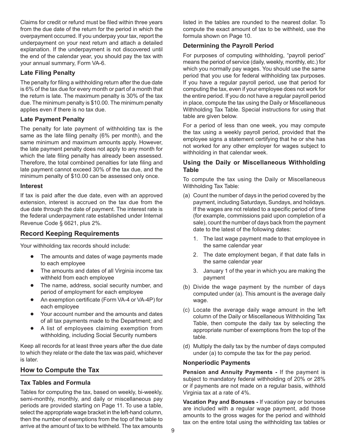Claims for credit or refund must be filed within three years from the due date of the return for the period in which the overpayment occurred. If you underpay your tax, report the underpayment on your next return and attach a detailed explanation. If the underpayment is not discovered until the end of the calendar year, you should pay the tax with your annual summary, Form VA-6.

#### **Late Filing Penalty**

The penalty for filing a withholding return after the due date is 6% of the tax due for every month or part of a month that the return is late. The maximum penalty is 30% of the tax due. The minimum penalty is \$10.00. The minimum penalty applies even if there is no tax due.

## **Late Payment Penalty**

The penalty for late payment of withholding tax is the same as the late filing penalty (6% per month), and the same minimum and maximum amounts apply. However, the late payment penalty does not apply to any month for which the late filing penalty has already been assessed. Therefore, the total combined penalties for late filing and late payment cannot exceed 30% of the tax due, and the minimum penalty of \$10.00 can be assessed only once.

#### **Interest**

If tax is paid after the due date, even with an approved extension, interest is accrued on the tax due from the due date through the date of payment. The interest rate is the federal underpayment rate established under Internal Revenue Code § 6621, plus 2%.

## **Record Keeping Requirements**

Your withholding tax records should include:

- The amounts and dates of wage payments made to each employee
- The amounts and dates of all Virginia income tax withheld from each employee
- The name, address, social security number, and period of employment for each employee
- An exemption certificate (Form VA-4 or VA-4P) for each employee
- Your account number and the amounts and dates of all tax payments made to the Department; and
- A list of employees claiming exemption from withholding, including Social Security numbers

Keep all records for at least three years after the due date to which they relate or the date the tax was paid, whichever is later.

# **How to Compute the Tax**

## **Tax Tables and Formula**

Tables for computing the tax, based on weekly, bi-weekly, semi-monthly, monthly, and daily or miscellaneous pay periods are provided starting on Page 11. To use a table, select the appropriate wage bracket in the left-hand column, then the number of exemptions from the top of the table to arrive at the amount of tax to be withheld. The tax amounts listed in the tables are rounded to the nearest dollar. To compute the exact amount of tax to be withheld, use the formula shown on Page 10.

## **Determining the Payroll Period**

For purposes of computing withholding, "payroll period" means the period of service (daily, weekly, monthly, etc.) for which you normally pay wages. You should use the same period that you use for federal withholding tax purposes. If you have a regular payroll period, use that period for computing the tax, even if your employee does not work for the entire period. If you do not have a regular payroll period in place, compute the tax using the Daily or Miscellaneous Withholding Tax Table. Special instructions for using that table are given below.

For a period of less than one week, you may compute the tax using a weekly payroll period, provided that the employee signs a statement certifying that he or she has not worked for any other employer for wages subject to withholding in that calendar week.

#### **Using the Daily or Miscellaneous Withholding Table**

To compute the tax using the Daily or Miscellaneous Withholding Tax Table:

- (a) Count the number of days in the period covered by the payment, including Saturdays, Sundays, and holidays. If the wages are not related to a specific period of time (for example, commissions paid upon completion of a sale), count the number of days back from the payment date to the latest of the following dates:
	- 1. The last wage payment made to that employee in the same calendar year
	- 2. The date employment began, if that date falls in the same calendar year
	- 3. January 1 of the year in which you are making the payment
- (b) Divide the wage payment by the number of days computed under (a). This amount is the average daily wage.
- (c) Locate the average daily wage amount in the left column of the Daily or Miscellaneous Withholding Tax Table, then compute the daily tax by selecting the appropriate number of exemptions from the top of the table.
- (d) Multiply the daily tax by the number of days computed under (a) to compute the tax for the pay period.

#### **Nonperiodic Payments**

**Pension and Annuity Payments -** If the payment is subject to mandatory federal withholding of 20% or 28% or if payments are not made on a regular basis, withhold Virginia tax at a rate of 4%.

**Vacation Pay and Bonuses -** If vacation pay or bonuses are included with a regular wage payment, add those amounts to the gross wages for the period and withhold tax on the entire total using the withholding tax tables or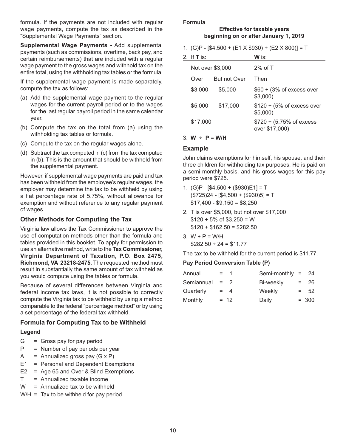formula. If the payments are not included with regular wage payments, compute the tax as described in the "Supplemental Wage Payments" section.

**Supplemental Wage Payments -** Add supplemental payments (such as commissions, overtime, back pay, and certain reimbursements) that are included with a regular wage payment to the gross wages and withhold tax on the entire total, using the withholding tax tables or the formula.

If the supplemental wage payment is made separately, compute the tax as follows:

- (a) Add the supplemental wage payment to the regular wages for the current payroll period or to the wages for the last regular payroll period in the same calendar year.
- (b) Compute the tax on the total from (a) using the withholding tax tables or formula.
- (c) Compute the tax on the regular wages alone.
- (d) Subtract the tax computed in (c) from the tax computed in (b). This is the amount that should be withheld from the supplemental payment.

However, if supplemental wage payments are paid and tax has been withheld from the employee's regular wages, the employer may determine the tax to be withheld by using a flat percentage rate of 5.75%, without allowance for exemption and without reference to any regular payment of wages.

## **Other Methods for Computing the Tax**

Virginia law allows the Tax Commissioner to approve the use of computation methods other than the formula and tables provided in this booklet. To apply for permission to use an alternative method, write to the **Tax Commissioner, Virginia Department of Taxation, P.O. Box 2475, Richmond, VA 23218-2475**. The requested method must result in substantially the same amount of tax withheld as you would compute using the tables or formula.

Because of several differences between Virginia and federal income tax laws, it is not possible to correctly compute the Virginia tax to be withheld by using a method comparable to the federal "percentage method" or by using a set percentage of the federal tax withheld.

## **Formula for Computing Tax to be Withheld**

#### **Legend**

- G = Gross pay for pay period
- $P =$  Number of pay periods per year
- $A =$  Annualized gross pay  $(G \times P)$
- E1 = Personal and Dependent Exemptions
- E2 = Age 65 and Over & Blind Exemptions
- T = Annualized taxable income
- $W =$  Annualized tax to be withheld
- W/H = Tax to be withheld for pay period

#### **Formula**

#### **Effective for taxable years beginning on or after January 1, 2019**

|  |  |  |  | 1. (G)P - [\$4,500 + (E1 X \$930) + (E2 X 800)] = T |
|--|--|--|--|-----------------------------------------------------|
|--|--|--|--|-----------------------------------------------------|

| 2. If <b>T</b> is: |                     | $W$ is:                                               |  |  |  |  |  |  |
|--------------------|---------------------|-------------------------------------------------------|--|--|--|--|--|--|
| Not over \$3,000   |                     | $2\%$ of T                                            |  |  |  |  |  |  |
| Over               | <b>But not Over</b> | Then                                                  |  |  |  |  |  |  |
| \$3,000            | \$5,000             | $$60 + (3\% \text{ of excess over})$<br>$$3,000$ )    |  |  |  |  |  |  |
| \$5,000            | \$17,000            | $$120 + (5\% \text{ of excess over})$<br>$$5,000$ )   |  |  |  |  |  |  |
| \$17,000           |                     | $$720 + (5.75\% \text{ of excess})$<br>over \$17,000) |  |  |  |  |  |  |

#### 3. **W** ÷ **P** = **W/H**

#### **Example**

John claims exemptions for himself, his spouse, and their three children for withholding tax purposes. He is paid on a semi-monthly basis, and his gross wages for this pay period were \$725.

- 1.  $(G)P [$4,500 + ($930)E1] = T$  $($725)24 - $4,500 + ($930)5 = T$  $$17,400 - $9,150 = $8,250$
- 2. T is over \$5,000, but not over \$17,000  $$120 + 5\% \text{ of } $3,250 = W$  $$120 + $162.50 = $282.50$
- 3.  $W \div P = W/H$  $$282.50 \div 24 = $11.77$

The tax to be withheld for the current period is \$11.77.

#### **Pay Period Conversion Table (P)**

| Annual           | $=$ 1  | Semi-monthly $= 24$ |     |         |
|------------------|--------|---------------------|-----|---------|
| Semiannual $= 2$ |        | Bi-weekly           | $=$ | -26     |
| Quarterly        | $= 4$  | Weekly              |     | $= 52$  |
| Monthly          | $= 12$ | Daily               |     | $= 300$ |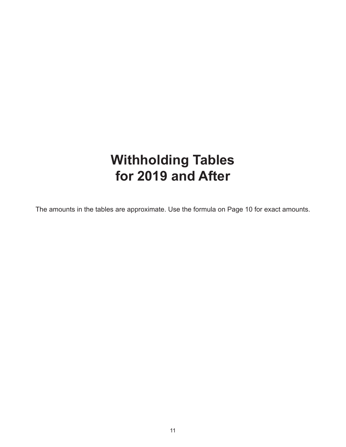# **Withholding Tables for 2019 and After**

The amounts in the tables are approximate. Use the formula on Page 10 for exact amounts.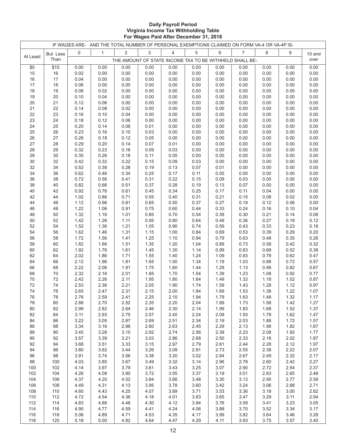#### **Daily Payroll Period Virginia Income Tax Withholding Table For Wages Paid After December 31, 2018**

| IF WAGES ARE- AND THE TOTAL NUMBER OF PERSONAL EXEMPTIONS CLAIMED ON FORM VA-4 OR VA-4P IS- |                 |              |              |                |              |                |              |                                                         |                |              |              |              |
|---------------------------------------------------------------------------------------------|-----------------|--------------|--------------|----------------|--------------|----------------|--------------|---------------------------------------------------------|----------------|--------------|--------------|--------------|
| At Least                                                                                    | <b>But Less</b> | $\mathbf 0$  | $\mathbf{1}$ | $\overline{2}$ | 3            | $\overline{4}$ | 5            | 6                                                       | $\overline{7}$ | 8            | 9            | 10 and       |
|                                                                                             | Than            |              |              |                |              |                |              | THE AMOUNT OF STATE INCOME TAX TO BE WITHHELD SHALL BE- |                |              |              | over         |
| \$0                                                                                         | \$15            | 0.00         | 0.00         | 0.00           | 0.00         | 0.00           | 0.00         | 0.00                                                    | 0.00           | 0.00         | 0.00         | 0.00         |
| 15                                                                                          | 16              | 0.02         | 0.00         | 0.00           | 0.00         | 0.00           | 0.00         | 0.00                                                    | 0.00           | 0.00         | 0.00         | 0.00         |
| 16                                                                                          | 17              | 0.04         | 0.00         | 0.00           | 0.00         | 0.00           | 0.00         | 0.00                                                    | 0.00           | 0.00         | 0.00         | 0.00         |
| 17                                                                                          | 18              | 0.06         | 0.00         | 0.00           | 0.00         | 0.00           | 0.00         | 0.00                                                    | 0.00           | 0.00         | 0.00         | 0.00         |
| 18                                                                                          | 19              | 0.08         | 0.02         | 0.00           | 0.00         | 0.00           | 0.00         | 0.00                                                    | 0.00           | 0.00         | 0.00         | 0.00         |
| 19                                                                                          | 20              | 0.10         | 0.04         | 0.00           | 0.00         | 0.00           | 0.00         | 0.00                                                    | 0.00           | 0.00         | 0.00         | 0.00         |
| 20                                                                                          | 21              | 0.12         | 0.06         | 0.00           | 0.00         | 0.00           | 0.00         | 0.00                                                    | 0.00           | 0.00         | 0.00         | 0.00         |
| 21                                                                                          | 22              | 0.14         | 0.08         | 0.02           | 0.00         | 0.00           | 0.00         | 0.00                                                    | 0.00           | 0.00         | 0.00         | 0.00         |
| 22                                                                                          | 23              | 0.16         | 0.10         | 0.04           | 0.00         | 0.00           | 0.00         | 0.00                                                    | 0.00           | 0.00         | 0.00         | 0.00         |
| 23                                                                                          | 24              | 0.18         | 0.12         | 0.06           | 0.00         | 0.00           | 0.00         | 0.00                                                    | 0.00           | 0.00         | 0.00         | 0.00         |
| 24                                                                                          | 25              | 0.20         | 0.14         | 0.08           | 0.01         | 0.00           | 0.00         | 0.00                                                    | 0.00           | 0.00         | 0.00         | 0.00         |
| 25                                                                                          | 26              | 0.23         | 0.16         | 0.10           | 0.03         | 0.00           | 0.00         | 0.00                                                    | 0.00           | 0.00         | 0.00         | 0.00         |
| 26                                                                                          | 27              | 0.26         | 0.18         | 0.12           | 0.05         | 0.00           | 0.00         | 0.00                                                    | 0.00           | 0.00         | 0.00         | 0.00         |
| 27                                                                                          | 28              | 0.29         | 0.20         | 0.14           | 0.07         | 0.01           | 0.00         | 0.00                                                    | 0.00           | 0.00         | 0.00         | 0.00         |
| 28                                                                                          | 29              | 0.32         | 0.23         | 0.16           | 0.09         | 0.03           | 0.00         | 0.00                                                    | 0.00           | 0.00         | 0.00         | 0.00         |
| 29                                                                                          | 30              | 0.35         | 0.26         | 0.18           | 0.11         | 0.05           | 0.00         | 0.00                                                    | 0.00           | 0.00         | 0.00         | 0.00         |
| 30                                                                                          | 32              | 0.42         | 0.32         | 0.22           | 0.15         | 0.09           | 0.03         | 0.00                                                    | 0.00           | 0.00         | 0.00         | 0.00         |
| 32                                                                                          | 34              | 0.52         | 0.38         | 0.28           | 0.19         | 0.13           | 0.07         | 0.01                                                    | 0.00           | 0.00         | 0.00         | 0.00         |
| 34                                                                                          | 36              | 0.62         | 0.46         | 0.34           | 0.25         | 0.17           | 0.11         | 0.05                                                    | 0.00           | 0.00         | 0.00         | 0.00         |
| 36                                                                                          | 38              | 0.72         | 0.56         | 0.41           | 0.31         | 0.22           | 0.15         | 0.09                                                    | 0.03           | 0.00         | 0.00         | 0.00         |
| 38                                                                                          | 40              | 0.82         | 0.66         | 0.51           | 0.37         | 0.28           | 0.19         | 0.13                                                    | 0.07           | 0.00         | 0.00         | 0.00         |
| 40                                                                                          | 42              | 0.92         | 0.76         | 0.61           | 0.45         | 0.34           | 0.25         | 0.17                                                    | 0.11           | 0.04         | 0.00         | 0.00         |
| 42                                                                                          | 44              | 1.02         | 0.86         | 0.71           | 0.55         | 0.40           | 0.31         | 0.21                                                    | 0.15           | 0.08         | 0.02         | 0.00         |
| 44<br>46                                                                                    | 46              | 1.12<br>1.22 | 0.96         | 0.81<br>0.91   | 0.65         | 0.50<br>0.60   | 0.37<br>0.44 | 0.27                                                    | 0.19<br>0.24   | 0.12         | 0.06<br>0.10 | 0.00<br>0.04 |
| 48                                                                                          | 48<br>50        | 1.32         | 1.06<br>1.16 | 1.01           | 0.75<br>0.85 | 0.70           | 0.54         | 0.33<br>0.39                                            | 0.30           | 0.16<br>0.21 | 0.14         | 0.08         |
| 50                                                                                          | 52              | 1.42         | 1.26         | 1.11           | 0.95         | 0.80           | 0.64         | 0.49                                                    | 0.36           | 0.27         | 0.18         | 0.12         |
| 52                                                                                          | 54              | 1.52         | 1.36         | 1.21           | 1.05         | 0.90           | 0.74         | 0.59                                                    | 0.43           | 0.33         | 0.23         | 0.16         |
| 54                                                                                          | 56              | 1.62         | 1.46         | 1.31           | 1.15         | 1.00           | 0.84         | 0.69                                                    | 0.53           | 0.39         | 0.29         | 0.20         |
| 56                                                                                          | 58              | 1.72         | 1.56         | 1.41           | 1.25         | 1.10           | 0.94         | 0.79                                                    | 0.63           | 0.48         | 0.35         | 0.26         |
| 58                                                                                          | 60              | 1.82         | 1.66         | 1.51           | 1.35         | 1.20           | 1.04         | 0.89                                                    | 0.73           | 0.58         | 0.42         | 0.32         |
| 60                                                                                          | 62              | 1.92         | 1.76         | 1.61           | 1.45         | 1.30           | 1.14         | 0.99                                                    | 0.83           | 0.68         | 0.52         | 0.38         |
| 62                                                                                          | 64              | 2.02         | 1.86         | 1.71           | 1.55         | 1.40           | 1.24         | 1.09                                                    | 0.93           | 0.78         | 0.62         | 0.47         |
| 64                                                                                          | 66              | 2.12         | 1.96         | 1.81           | 1.65         | 1.50           | 1.34         | 1.19                                                    | 1.03           | 0.88         | 0.72         | 0.57         |
| 66                                                                                          | 68              | 2.22         | 2.06         | 1.91           | 1.75         | 1.60           | 1.44         | 1.29                                                    | 1.13           | 0.98         | 0.82         | 0.67         |
| 68                                                                                          | 70              | 2.32         | 2.16         | 2.01           | 1.85         | 1.70           | 1.54         | 1.39                                                    | 1.23           | 1.08         | 0.92         | 0.77         |
| 70                                                                                          | 72              | 2.42         | 2.26         | 2.11           | 1.95         | 1.80           | 1.64         | 1.49                                                    | 1.33           | 1.18         | 1.02         | 0.87         |
| 72                                                                                          | 74              | 2.53         | 2.36         | 2.21           | 2.05         | 1.90           | 1.74         | 1.59                                                    | 1.43           | 1.28         | 1.12         | 0.97         |
| 74                                                                                          | 76              | 2.65         | 2.47         | 2.31           | 2.15         | 2.00           | 1.84         | 1.69                                                    | 1.53           | 1.38         | 1.22         | 1.07         |
| 76                                                                                          | 78              | 2.76         | 2.59         | 2.41           | 2.25         | 2.10           | 1.94         | 1.79                                                    | 1.63           | 1.48         | 1.32         | 1.17         |
| 78                                                                                          | 80              | 2.88         | 2.70         | 2.52           | 2.35         | 2.20           | 2.04         | 1.89                                                    | 1.73           | 1.58         | 1.42         | 1.27         |
| 80                                                                                          | 82              | 2.99         | 2.82         | 2.64           | 2.46         | 2.30           | 2.14         | 1.99                                                    | 1.83           | 1.68         | 1.52         | 1.37         |
| 82                                                                                          | 84              | 3.11         | 2.93         | 2.75           | 2.57         | 2.40           | 2.24         | 2.09                                                    | 1.93           | 1.78         | 1.62         | 1.47         |
| 84                                                                                          | 86              | 3.22         | 3.05         | 2.87           | 2.69         | 2.51           | 2.34         | 2.19                                                    | 2.03           | 1.88         | 1.72         | 1.57         |
| 86                                                                                          | 88              | 3.34         | 3.16         | 2.98           | 2.80         | 2.63           | 2.45         | 2.29                                                    | 2.13           | 1.98         | 1.82         | 1.67         |
| 88                                                                                          | 90              | 3.45         | 3.28         | 3.10           | 2.92         | 2.74           | 2.56         | 2.39                                                    | 2.23           | 2.08         | 1.92         | 1.77         |
| 90                                                                                          | 92              | 3.57         | 3.39         | 3.21           | 3.03         | 2.86           | 2.68         | 2.50                                                    | 2.33           | 2.18         | 2.02         | 1.87         |
| 92                                                                                          | 94              | 3.68         | 3.51         | 3.33           | 3.15         | 2.97           | 2.79         | 2.61                                                    | 2.44           | 2.28         | 2.12         | 1.97         |
| 94                                                                                          | 96              | 3.80         | 3.62         | 3.44           | 3.26         | 3.09           | 2.91         | 2.73                                                    | 2.55           | 2.38         | 2.22         | 2.07         |
| 96                                                                                          | 98              | 3.91         | 3.74         | 3.56           | 3.38         | 3.20           | 3.02         | 2.84                                                    | 2.67           | 2.49         | 2.32         | 2.17         |
| 98                                                                                          | 100             | 4.03         | 3.85         | 3.67           | 3.49         | 3.32           | 3.14         | 2.96                                                    | 2.78           | 2.60         | 2.42         | 2.27         |
| 100                                                                                         | 102             | 4.14         | 3.97         | 3.79           | 3.61         | 3.43           | 3.25         | 3.07                                                    | 2.90           | 2.72         | 2.54         | 2.37         |
| 102                                                                                         | 104             | 4.26         | 4.08         | 3.90           | 3.72         | 3.55           | 3.37         | 3.19                                                    | 3.01           | 2.83         | 2.65         | 2.48         |
| 104                                                                                         | 106             | 4.37         | 4.20         | 4.02           | 3.84         | 3.66           | 3.48         | 3.30                                                    | 3.13           | 2.95         | 2.77         | 2.59         |
| 106                                                                                         | 108             | 4.49         | 4.31         | 4.13           | 3.95         | 3.78           | 3.60         | 3.42                                                    | 3.24           | 3.06         | 2.88         | 2.71         |
| 108                                                                                         | 110             | 4.60         | 4.43         | 4.25           | 4.07         | 3.89           | 3.71         | 3.53                                                    | 3.36           | 3.18         | 3.00         | 2.82         |
| 110                                                                                         | 112             | 4.72         | 4.54         | 4.36           | 4.18         | 4.01           | 3.83         | 3.65                                                    | 3.47           | 3.29         | 3.11         | 2.94         |
| 112                                                                                         | 114             | 4.83         | 4.66         | 4.48           | 4.30         | 4.12           | 3.94         | 3.76                                                    | 3.59           | 3.41         | 3.23         | 3.05         |
| 114                                                                                         | 116             | 4.95         | 4.77         | 4.59           | 4.41         | 4.24           | 4.06         | 3.88                                                    | 3.70           | 3.52         | 3.34         | 3.17         |
| 116                                                                                         | 118             | 5.06         | 4.89         | 4.71           | 4.53         | 4.35           | 4.17         | 3.99                                                    | 3.82           | 3.64         | 3.46         | 3.28         |
| 118                                                                                         | 120             | 5.18         | 5.00         | 4.82           | 4.64         | 4.47           | 4.29         | 4.11                                                    | 3.93           | 3.75         | 3.57         | 3.40         |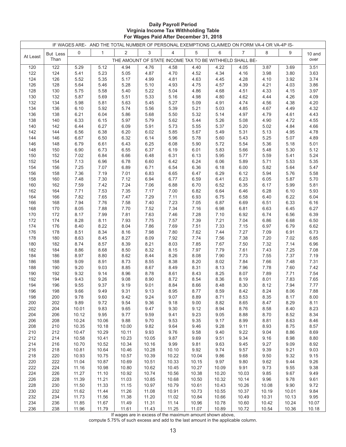#### **Daily Payroll Period Virginia Income Tax Withholding Table For Wages Paid After December 31, 2018**

|            |            |                | IF WAGES ARE- AND THE TOTAL NUMBER OF PERSONAL EXEMPTIONS CLAIMED ON FORM VA-4 OR VA-4P IS- |                |                |                |                                                         |                |                |                |               |              |
|------------|------------|----------------|---------------------------------------------------------------------------------------------|----------------|----------------|----------------|---------------------------------------------------------|----------------|----------------|----------------|---------------|--------------|
|            | But Less   | 0              | $\mathbf{1}$                                                                                | 2              | 3              | $\overline{4}$ | 5                                                       | 6              | $\overline{7}$ | 8              | 9             | 10 and       |
| At Least   | Than       |                |                                                                                             |                |                |                | THE AMOUNT OF STATE INCOME TAX TO BE WITHHELD SHALL BE- |                |                |                |               | over         |
| 120        | 122        | 5.29           | 5.12                                                                                        | 4.94           | 4.76           | 4.58           | 4.40                                                    | 4.22           | 4.05           | 3.87           | 3.69          | 3.51         |
| 122        | 124        | 5.41           | 5.23                                                                                        | 5.05           | 4.87           | 4.70           | 4.52                                                    | 4.34           | 4.16           | 3.98           | 3.80          | 3.63         |
| 124        | 126        | 5.52           | 5.35                                                                                        | 5.17           | 4.99           | 4.81           | 4.63                                                    | 4.45           | 4.28           | 4.10           | 3.92          | 3.74         |
| 126        | 128        | 5.64           | 5.46                                                                                        | 5.28           | 5.10           | 4.93           | 4.75                                                    | 4.57           | 4.39           | 4.21           | 4.03          | 3.86         |
| 128        | 130        | 5.75           | 5.58                                                                                        | 5.40           | 5.22           | 5.04           | 4.86                                                    | 4.68           | 4.51           | 4.33           | 4.15          | 3.97         |
| 130        | 132        | 5.87           | 5.69                                                                                        | 5.51           | 5.33           | 5.16           | 4.98                                                    | 4.80           | 4.62           | 4.44           | 4.26          | 4.09         |
| 132        | 134        | 5.98           | 5.81                                                                                        | 5.63           | 5.45           | 5.27           | 5.09                                                    | 4.91           | 4.74           | 4.56           | 4.38          | 4.20         |
| 134        | 136        | 6.10           | 5.92                                                                                        | 5.74           | 5.56           | 5.39           | 5.21                                                    | 5.03           | 4.85           | 4.67           | 4.49          | 4.32         |
| 136        | 138        | 6.21           | 6.04                                                                                        | 5.86           | 5.68           | 5.50           | 5.32                                                    | 5.14           | 4.97           | 4.79           | 4.61          | 4.43         |
| 138        | 140        | 6.33           | 6.15                                                                                        | 5.97           | 5.79           | 5.62           | 5.44                                                    | 5.26           | 5.08           | 4.90           | 4.72          | 4.55         |
| 140        | 142        | 6.44           | 6.27                                                                                        | 6.09           | 5.91           | 5.73           | 5.55                                                    | 5.37           | 5.20           | 5.02           | 4.84          | 4.66         |
| 142        | 144        | 6.56           | 6.38                                                                                        | 6.20           | 6.02           | 5.85           | 5.67                                                    | 5.49           | 5.31           | 5.13           | 4.95          | 4.78         |
| 144        | 146        | 6.67           | 6.50                                                                                        | 6.32           | 6.14           | 5.96           | 5.78                                                    | 5.60           | 5.43           | 5.25           | 5.07          | 4.89         |
| 146        | 148        | 6.79           | 6.61                                                                                        | 6.43           | 6.25           | 6.08           | 5.90                                                    | 5.72           | 5.54           | 5.36           | 5.18          | 5.01         |
| 148        | 150        | 6.90           | 6.73                                                                                        | 6.55           | 6.37           | 6.19           | 6.01                                                    | 5.83           | 5.66           | 5.48           | 5.30          | 5.12         |
| 150        | 152        | 7.02           | 6.84                                                                                        | 6.66           | 6.48           | 6.31           | 6.13                                                    | 5.95           | 5.77           | 5.59           | 5.41          | 5.24         |
| 152        | 154        | 7.13           | 6.96                                                                                        | 6.78           | 6.60           | 6.42           | 6.24                                                    | 6.06           | 5.89           | 5.71           | 5.53          | 5.35         |
| 154        | 156        | 7.25           | 7.07                                                                                        | 6.89           | 6.71           | 6.54           | 6.36                                                    | 6.18           | 6.00           | 5.82           | 5.64          | 5.47         |
| 156        | 158        | 7.36           | 7.19                                                                                        | 7.01           | 6.83           | 6.65           | 6.47                                                    | 6.29           | 6.12           | 5.94           | 5.76          | 5.58         |
| 158        | 160        | 7.48           | 7.30                                                                                        | 7.12           | 6.94           | 6.77           | 6.59                                                    | 6.41           | 6.23           | 6.05           | 5.87          | 5.70         |
| 160        | 162        | 7.59           | 7.42                                                                                        | 7.24           | 7.06           | 6.88           | 6.70                                                    | 6.52           | 6.35           | 6.17           | 5.99          | 5.81         |
| 162        | 164        | 7.71           | 7.53                                                                                        | 7.35           | 7.17           | 7.00           | 6.82                                                    | 6.64           | 6.46           | 6.28           | 6.10          | 5.93         |
| 164        | 166        | 7.82           | 7.65                                                                                        | 7.47           | 7.29           | 7.11           | 6.93                                                    | 6.75           | 6.58           | 6.40           | 6.22          | 6.04         |
| 166        | 168        | 7.94           | 7.76                                                                                        | 7.58           | 7.40           | 7.23           | 7.05                                                    | 6.87           | 6.69           | 6.51           | 6.33          | 6.16         |
| 168        | 170        | 8.05           | 7.88                                                                                        | 7.70           | 7.52           | 7.34           | 7.16                                                    | 6.98           | 6.81           | 6.63           | 6.45          | 6.27         |
| 170<br>172 | 172        | 8.17           | 7.99                                                                                        | 7.81           | 7.63           | 7.46           | 7.28                                                    | 7.10           | 6.92           | 6.74           | 6.56          | 6.39         |
| 174        | 174<br>176 | 8.28<br>8.40   | 8.11<br>8.22                                                                                | 7.93<br>8.04   | 7.75<br>7.86   | 7.57<br>7.69   | 7.39<br>7.51                                            | 7.21<br>7.33   | 7.04<br>7.15   | 6.86<br>6.97   | 6.68<br>6.79  | 6.50<br>6.62 |
| 176        | 178        | 8.51           | 8.34                                                                                        | 8.16           | 7.98           | 7.80           | 7.62                                                    | 7.44           | 7.27           | 7.09           | 6.91          | 6.73         |
| 178        | 180        | 8.63           | 8.45                                                                                        | 8.27           | 8.09           | 7.92           | 7.74                                                    | 7.56           | 7.38           | 7.20           | 7.02          | 6.85         |
| 180        | 182        | 8.74           | 8.57                                                                                        | 8.39           | 8.21           | 8.03           | 7.85                                                    | 7.67           | 7.50           | 7.32           | 7.14          | 6.96         |
| 182        | 184        | 8.86           | 8.68                                                                                        | 8.50           | 8.32           | 8.15           | 7.97                                                    | 7.79           | 7.61           | 7.43           | 7.25          | 7.08         |
| 184        | 186        | 8.97           | 8.80                                                                                        | 8.62           | 8.44           | 8.26           | 8.08                                                    | 7.90           | 7.73           | 7.55           | 7.37          | 7.19         |
| 186        | 188        | 9.09           | 8.91                                                                                        | 8.73           | 8.55           | 8.38           | 8.20                                                    | 8.02           | 7.84           | 7.66           | 7.48          | 7.31         |
| 188        | 190        | 9.20           | 9.03                                                                                        | 8.85           | 8.67           | 8.49           | 8.31                                                    | 8.13           | 7.96           | 7.78           | 7.60          | 7.42         |
| 190        | 192        | 9.32           | 9.14                                                                                        | 8.96           | 8.78           | 8.61           | 8.43                                                    | 8.25           | 8.07           | 7.89           | 7.71          | 7.54         |
| 192        | 194        | 9.43           | 9.26                                                                                        | 9.08           | 8.90           | 8.72           | 8.54                                                    | 8.36           | 8.19           | 8.01           | 7.83          | 7.65         |
| 194        | 196        | 9.55           | 9.37                                                                                        | 9.19           | 9.01           | 8.84           | 8.66                                                    | 8.48           | 8.30           | 8.12           | 7.94          | 7.77         |
| 196        | 198        | 9.66           | 9.49                                                                                        | 9.31           | 9.13           | 8.95           | 8.77                                                    | 8.59           | 8.42           | 8.24           | 8.06          | 7.88         |
| 198        | 200        | 9.78           | 9.60                                                                                        | 9.42           | 9.24           | 9.07           | 8.89                                                    | 8.71           | 8.53           | 8.35           | 8.17          | 8.00         |
| 200        | 202        | 9.89           | 9.72                                                                                        | 9.54           | 9.36           | 9.18           | 9.00                                                    | 8.82           | 8.65           | 8.47           | 8.29          | 8.11         |
| 202        | 204        | 10.01          | 9.83                                                                                        | 9.65           | 9.47           | 9.30           | 9.12                                                    | 8.94           | 8.76           | 8.58           | 8.40          | 8.23         |
| 204        | 206        | 10.12          | 9.95                                                                                        | 9.77           | 9.59           | 9.41           | 9.23                                                    | 9.05           | 8.88           | 8.70           | 8.52          | 8.34         |
| 206        | 208        | 10.24          | 10.06                                                                                       | 9.88           | 9.70           | 9.53           | 9.35                                                    | 9.17           | 8.99           | 8.81           | 8.63          | 8.46         |
| 208        | 210        | 10.35          | 10.18                                                                                       | 10.00          | 9.82           | 9.64           | 9.46                                                    | 9.28           | 9.11           | 8.93           | 8.75          | 8.57         |
| 210        | 212        | 10.47          | 10.29                                                                                       | 10.11          | 9.93           | 9.76           | 9.58                                                    | 9.40           | 9.22           | 9.04           | 8.86          | 8.69         |
| 212        | 214        | 10.58          | 10.41                                                                                       | 10.23          | 10.05          | 9.87           | 9.69                                                    | 9.51           | 9.34           | 9.16           | 8.98          | 8.80         |
| 214        | 216        | 10.70          | 10.52                                                                                       | 10.34          | 10.16          | 9.99           | 9.81                                                    | 9.63           | 9.45           | 9.27           | 9.09          | 8.92         |
| 216        | 218        | 10.81          | 10.64                                                                                       | 10.46          | 10.28          | 10.10          | 9.92                                                    | 9.74           | 9.57           | 9.39           | 9.21          | 9.03         |
| 218        | 220        | 10.93          | 10.75                                                                                       | 10.57          | 10.39          | 10.22          | 10.04                                                   | 9.86           | 9.68           | 9.50           | 9.32          | 9.15         |
| 220        | 222        | 11.04          | 10.87                                                                                       | 10.69          | 10.51          | 10.33          | 10.15                                                   | 9.97           | 9.80           | 9.62           | 9.44          | 9.26         |
| 222        | 224        | 11.16          | 10.98                                                                                       | 10.80          | 10.62          | 10.45          | 10.27                                                   | 10.09          | 9.91           | 9.73           | 9.55          | 9.38         |
| 224        | 226        | 11.27          | 11.10                                                                                       | 10.92          | 10.74          | 10.56          | 10.38                                                   | 10.20          | 10.03          | 9.85           | 9.67          | 9.49         |
| 226        | 228        | 11.39          | 11.21                                                                                       | 11.03          | 10.85          | 10.68          | 10.50                                                   | 10.32          | 10.14          | 9.96           | 9.78          | 9.61         |
| 228<br>230 | 230<br>232 | 11.50<br>11.62 | 11.33<br>11.44                                                                              | 11.15<br>11.26 | 10.97<br>11.08 | 10.79<br>10.91 | 10.61<br>10.73                                          | 10.43<br>10.55 | 10.26<br>10.37 | 10.08<br>10.19 | 9.90<br>10.01 | 9.72<br>9.84 |
| 232        | 234        | 11.73          | 11.56                                                                                       | 11.38          | 11.20          | 11.02          | 10.84                                                   | 10.66          | 10.49          | 10.31          | 10.13         | 9.95         |
| 234        | 236        | 11.85          | 11.67                                                                                       | 11.49          | 11.31          | 11.14          | 10.96                                                   | 10.78          | 10.60          | 10.42          | 10.24         | 10.07        |
| 236        | 238        | 11.96          | 11.79                                                                                       | 11.61          | 11.43          | 11.25          | 11.07                                                   | 10.89          | 10.72          | 10.54          | 10.36         | 10.18        |

If wages are in excess of the maximum amount shown above,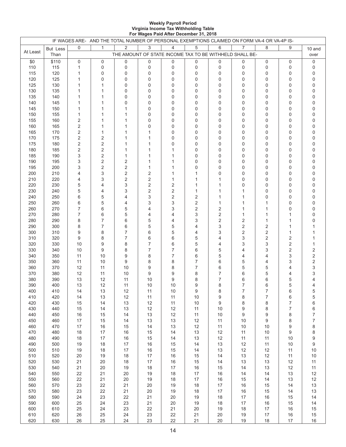#### **Weekly Payroll Period Virginia Income Tax Withholding Table For Wages Paid After December 31, 2018**

|            | IF WAGES ARE- AND THE TOTAL NUMBER OF PERSONAL EXEMPTIONS CLAIMED ON FORM VA-4 OR VA-4P IS- |                  |                |                                                         |                             |                            |                |              |                |            |                |                                       |
|------------|---------------------------------------------------------------------------------------------|------------------|----------------|---------------------------------------------------------|-----------------------------|----------------------------|----------------|--------------|----------------|------------|----------------|---------------------------------------|
|            | But Less                                                                                    | $\mathbf 0$      | $\mathbf{1}$   | $\overline{2}$                                          | 3                           | $\overline{4}$             | 5              | 6            | $\overline{7}$ | 8          | 9              | 10 and                                |
| At Least   | Than                                                                                        |                  |                | THE AMOUNT OF STATE INCOME TAX TO BE WITHHELD SHALL BE- |                             |                            |                |              |                |            |                | over                                  |
| \$0        | \$110                                                                                       | 0                | 0              | 0                                                       | 0                           | 0                          | 0              | 0            | 0              | 0          | 0              | 0                                     |
| 110        | 115                                                                                         | 1                | 0              | 0                                                       | $\pmb{0}$                   | 0                          | 0              | 0            | 0              | 0          | 0              | 0                                     |
| 115        | 120                                                                                         | 1                | 0              | 0                                                       | $\mathbf 0$                 | $\mathbf 0$                | 0              | 0            | 0              | 0          | 0              | 0                                     |
| 120        | 125                                                                                         | 1                | 0              | 0                                                       | $\mathbf 0$                 | $\mathbf 0$                | 0              | 0            | 0              | 0          | 0              | 0                                     |
| 125        | 130                                                                                         |                  | 1              | 0                                                       | $\mathbf 0$                 | $\mathbf 0$                | 0              | 0            | $\Omega$       | 0          | $\mathbf 0$    | $\mathbf 0$                           |
| 130        | 135                                                                                         | 1                | 1              | 0                                                       | $\mathbf 0$                 | 0                          | 0              | 0            | 0              | 0          | 0              | 0                                     |
| 135        | 140                                                                                         | 1                | 1              | 0                                                       | $\mathbf 0$                 | $\mathbf 0$                | 0              | 0            | 0              | 0          | 0              | 0                                     |
| 140        | 145                                                                                         | 1                | 1              | 0                                                       | $\mathbf 0$                 | $\mathbf 0$                | 0              | 0            | 0              | 0          | 0              | 0                                     |
| 145        | 150                                                                                         | 1                | 1              | 1                                                       | $\mathbf 0$                 | $\mathbf 0$                | 0              | 0            | 0              | 0          | $\mathbf 0$    | $\mathbf 0$                           |
| 150        | 155                                                                                         | 1                | 1              | 1                                                       | $\mathbf 0$                 | 0                          | 0              | 0            | 0              | 0          | 0              | 0                                     |
| 155        | 160                                                                                         | 2                |                | 1<br>1                                                  | $\mathbf 0$                 | $\mathbf 0$                | 0              | 0            | 0              | 0          | 0              | 0                                     |
| 160<br>165 | 165<br>170                                                                                  | 2<br>2           | 1<br>1         | 1                                                       | $\mathbf 0$<br>$\mathbf{1}$ | $\mathbf 0$<br>$\mathbf 0$ | 0<br>0         | 0<br>0       | 0<br>0         | 0<br>0     | 0<br>0         | 0<br>$\mathbf 0$                      |
| 170        | 175                                                                                         | $\overline{c}$   | 2              | 1                                                       | $\mathbf{1}$                | $\mathbf 0$                | 0              | 0            | 0              | 0          | 0              | 0                                     |
| 175        | 180                                                                                         | 2                | 2              | 1                                                       | $\mathbf 1$                 | $\mathbf 0$                | 0              | 0            | 0              | 0          | 0              | 0                                     |
| 180        | 185                                                                                         | 2                | 2              | 1                                                       | 1                           | 1                          | 0              | 0            | 0              | 0          | 0              | $\mathbf 0$                           |
| 185        | 190                                                                                         | 3                | 2              | 1                                                       | $\mathbf 1$                 | 1                          | 0              | 0            | 0              | 0          | 0              | $\mathbf 0$                           |
| 190        | 195                                                                                         | 3                | 2              | 2                                                       | 1                           | 1                          | 0              | 0            | 0              | 0          | 0              | 0                                     |
| 195        | 200                                                                                         | 3                | $\overline{2}$ | $\mathbf 2$                                             | $\mathbf{1}$                | 1                          | 0              | 0            | 0              | 0          | 0              | 0                                     |
| 200        | 210                                                                                         | 4                | 3              | 2                                                       | $\overline{2}$              |                            | 1              | 0            | $\Omega$       | 0          | $\mathbf 0$    | $\Omega$                              |
| 210        | 220                                                                                         | 4                | 3              | $\mathbf 2$                                             | $\sqrt{2}$                  | 1                          | 1              | 1            | 0              | 0          | 0              | $\mathbf 0$                           |
| 220        | 230                                                                                         | 5                | 4              | 3                                                       | $\sqrt{2}$                  | $\overline{c}$             | 1              | 1            | 0              | 0          | 0              | 0                                     |
| 230        | 240                                                                                         | 5                | 4              | 3                                                       | $\sqrt{2}$                  | 2                          | $\mathbf{1}$   | 1            | 1              | 0          | 0              | 0                                     |
| 240        | 250                                                                                         | 6                | 5              | 4                                                       | 3                           | 2                          | 2              | 1            | 1              | 0          | $\mathbf 0$    | $\Omega$                              |
| 250        | 260                                                                                         | 6                | 5              | 4                                                       | 3                           | 3                          | 2              | $\mathbf{1}$ | 1              | 1          | 0              | 0                                     |
| 260        | 270                                                                                         | 7                | 6              | 5                                                       | 4                           | 3                          | 2              | 2            | 1              |            | 0              | 0                                     |
| 270        | 280                                                                                         | 7                | 6              | 5                                                       | 4                           | 4                          | 3              | 2            | 1              | 1          | 1              | 0                                     |
| 280        | 290                                                                                         | 8                | $\overline{7}$ | 6                                                       | 5                           | 4                          | 3              | 2            | 2              | 1          | 1              | $\Omega$                              |
| 290        | 300                                                                                         | 8                | 7              | 6                                                       | 5                           | 5                          | 4              | 3            | 2              | 2          | 1              |                                       |
| 300        | 310                                                                                         | 9                | 8              | $\overline{7}$                                          | 6                           | 5                          | 4              | 3            | $\overline{2}$ | 2          | 1              | 1                                     |
| 310<br>320 | 320<br>330                                                                                  | 9<br>10          | 8<br>9         | $\overline{7}$<br>8                                     | 6<br>$\overline{7}$         | 6<br>6                     | 5<br>5         | 4<br>4       | 3<br>3         | 2<br>3     | 2<br>2         | 1<br>1                                |
| 330        | 340                                                                                         | 10               | 9              | 8                                                       | $\overline{7}$              | 7                          | 6              | 5            | 4              | 3          | 2              | $\overline{\mathbf{c}}$               |
| 340        | 350                                                                                         | 11               | 10             | 9                                                       | 8                           | $\overline{7}$             | 6              | 5            | 4              | 4          | 3              | $\overline{\mathbf{c}}$               |
| 350        | 360                                                                                         | 11               | 10             | 9                                                       | 8                           | 8                          | $\overline{7}$ | 6            | 5              | 4          | 3              | $\overline{\mathbf{c}}$               |
| 360        | 370                                                                                         | 12               | 11             | 10                                                      | 9                           | 8                          | $\overline{7}$ | 6            | 5              | 5          | 4              | 3                                     |
| 370        | 380                                                                                         | 12               | 11             | 10                                                      | 9                           | 9                          | 8              | 7            | 6              | 5          | 4              | 3                                     |
| 380        | 390                                                                                         | 13               | 12             | 11                                                      | 10                          | 9                          | 8              | 7            | 6              | 6          | 5              | 4                                     |
| 390        | 400                                                                                         | 13               | 12             | 11                                                      | 10                          | 10                         | 9              | 8            | $\overline{7}$ | 6          | 5              | 4                                     |
| 400        | 410                                                                                         | 14               | 13             | 12                                                      | 11                          | 10                         | 9              | 8            | 7              | 7          | 6              | 5                                     |
| 410        | 420                                                                                         | 14               | $13$           | 12                                                      | 11                          | 11                         | 10             | 9            | 8              | 7          | 6              | 5                                     |
| 420        | 430                                                                                         | 15               | 14             | 13                                                      | $12$                        | 11                         | 10             | 9            | 8              | 8          | $\overline{7}$ | $\begin{array}{c} 6 \\ 6 \end{array}$ |
| 430        | 440                                                                                         | 15               | 14             | 13                                                      | $12$                        | $12$                       | 11             | $10$         | 9              | 8          | $\overline{7}$ |                                       |
| 440        | 450                                                                                         | $16\,$           | 15             | 14                                                      | 13                          | $12$                       | 11             | $10$         | 9              | 9          | 8              | $\overline{7}$                        |
| 450        | 460                                                                                         | $17\,$           | 15             | 14                                                      | 13                          | $13$                       | 12             | 11           | $10$           | 9          | 8              | $\overline{7}$                        |
| 460        | 470                                                                                         | $17\,$           | $16\,$         | 15                                                      | 14                          | $13$                       | 12             | 11           | $10$           | $10$       | 9              | 8                                     |
| 470<br>480 | 480<br>490                                                                                  | $18\,$<br>$18\,$ | $17\,$<br>$17$ | 16<br>16                                                | 15<br>15                    | 14<br>14                   | $13\,$<br>13   | 12<br>12     | 11<br>11       | $10$<br>11 | 9<br>$10\,$    | 8<br>9                                |
| 490        | 500                                                                                         | $19$             | 18             | $17$                                                    | 16                          | 15                         | 14             | 13           | 12             | 11         | $10\,$         | 9                                     |
| 500        | 510                                                                                         | $19$             | 18             | 17                                                      | 16                          | 15                         | 14             | 13           | 12             | 12         | 11             | $10$                                  |
| 510        | 520                                                                                         | 20               | 19             | 18                                                      | 17                          | $16\,$                     | $15\,$         | 14           | 13             | 12         | 11             | $10$                                  |
| 520        | 530                                                                                         | 21               | $20\,$         | 18                                                      | 17                          | $16\,$                     | 15             | 14           | 13             | 13         | 12             | 11                                    |
| 530        | 540                                                                                         | 21               | 20             | 19                                                      | 18                          | $17\,$                     | 16             | 15           | 14             | 13         | 12             | 11                                    |
| 540        | 550                                                                                         | 22               | 21             | 20                                                      | 19                          | 18                         | $17\,$         | $16$         | 14             | 14         | $13$           | 12                                    |
| 550        | 560                                                                                         | 22               | 21             | 20                                                      | 19                          | $18$                       | $17\,$         | $16\,$       | 15             | 14         | 13             | $12\,$                                |
| 560        | 570                                                                                         | 23               | 22             | 21                                                      | 20                          | $19$                       | 18             | $17$         | $16\,$         | 15         | 14             | $13$                                  |
| 570        | 580                                                                                         | 23               | 22             | 21                                                      | 20                          | $19$                       | 18             | 17           | 16             | 15         | 14             | 13                                    |
| 580        | 590                                                                                         | 24               | 23             | 22                                                      | 21                          | 20                         | 19             | 18           | 17             | 16         | 15             | 14                                    |
| 590        | 600                                                                                         | 25               | 24             | 23                                                      | 21                          | 20                         | 19             | 18           | 17             | $16\,$     | 15             | 14                                    |
| 600        | 610                                                                                         | 25               | 24             | 23                                                      | 22                          | 21                         | $20\,$         | 19           | $18$           | $17\,$     | $16$           | $15\,$                                |
| 610        | 620                                                                                         | $26\,$           | 25             | 24                                                      | 23                          | 22                         | 21             | 20           | 19             | $17\,$     | $16\,$         | 15                                    |
| 620        | 630                                                                                         | 26               | 25             | 24                                                      | 23                          | 22                         | 21             | 20           | 19             | $18$       | $17\,$         | $16\,$                                |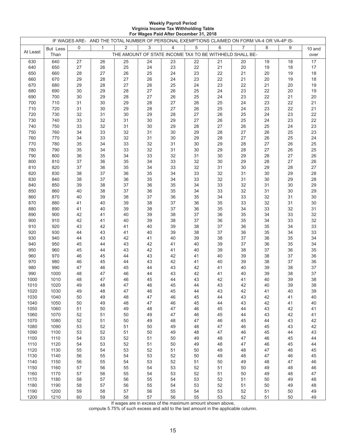#### **Weekly Payroll Period Virginia Income Tax Withholding Table For Wages Paid After December 31, 2018**

| 0<br>$\mathbf{1}$<br>$\overline{2}$<br>5<br>3<br>4<br>6<br>$\overline{7}$<br>8<br>9<br>But Less<br>10 and<br>At Least<br>THE AMOUNT OF STATE INCOME TAX TO BE WITHHELD SHALL BE-<br>Than<br>over<br>17<br>630<br>640<br>27<br>25<br>23<br>22<br>20<br>18<br>26<br>24<br>21<br>19<br>640<br>650<br>27<br>26<br>25<br>24<br>23<br>22<br>21<br>20<br>17<br>19<br>18<br>650<br>660<br>28<br>27<br>26<br>25<br>24<br>23<br>22<br>21<br>19<br>$18$<br>20<br>660<br>670<br>29<br>28<br>27<br>26<br>24<br>23<br>22<br>21<br>19<br>18<br>20<br>670<br>29<br>27<br>26<br>25<br>24<br>23<br>22<br>20<br>19<br>680<br>28<br>21<br>19<br>680<br>690<br>30<br>29<br>28<br>27<br>25<br>24<br>23<br>22<br>20<br>26<br>690<br>700<br>29<br>28<br>27<br>26<br>25<br>23<br>22<br>21<br>20<br>30<br>24<br>700<br>29<br>28<br>27<br>23<br>22<br>21<br>710<br>31<br>30<br>26<br>25<br>24<br>22<br>710<br>29<br>28<br>27<br>25<br>23<br>21<br>720<br>31<br>30<br>26<br>24<br>23<br>22<br>720<br>730<br>31<br>30<br>29<br>27<br>26<br>24<br>32<br>28<br>25<br>22<br>730<br>740<br>33<br>32<br>31<br>30<br>29<br>27<br>26<br>25<br>24<br>23<br>23<br>740<br>32<br>31<br>30<br>29<br>27<br>25<br>24<br>750<br>33<br>28<br>26<br>23<br>750<br>760<br>33<br>32<br>31<br>30<br>29<br>28<br>27<br>26<br>25<br>34<br>24<br>760<br>770<br>33<br>32<br>31<br>30<br>29<br>28<br>27<br>26<br>25<br>34<br>25<br>770<br>780<br>35<br>34<br>33<br>32<br>31<br>30<br>29<br>28<br>27<br>26<br>780<br>790<br>35<br>33<br>32<br>31<br>30<br>29<br>28<br>27<br>26<br>25<br>34<br>26<br>790<br>800<br>36<br>35<br>34<br>33<br>32<br>31<br>30<br>29<br>28<br>27<br>34<br>26<br>800<br>810<br>37<br>36<br>35<br>33<br>32<br>30<br>29<br>28<br>27<br>810<br>820<br>37<br>36<br>$35\,$<br>34<br>33<br>32<br>31<br>29<br>28<br>27<br>30<br>28<br>820<br>830<br>38<br>37<br>36<br>35<br>33<br>32<br>30<br>29<br>34<br>31<br>28<br>830<br>840<br>38<br>37<br>36<br>35<br>33<br>32<br>31<br>30<br>29<br>34<br>29<br>840<br>850<br>39<br>38<br>37<br>36<br>34<br>33<br>32<br>31<br>30<br>35<br>29<br>850<br>40<br>38<br>37<br>36<br>35<br>34<br>33<br>32<br>31<br>30<br>860<br>860<br>38<br>33<br>32<br>31<br>$30\,$<br>870<br>40<br>39<br>37<br>36<br>35<br>34<br>$30\,$<br>870<br>39<br>38<br>37<br>36<br>35<br>32<br>31<br>880<br>41<br>40<br>33<br>31<br>880<br>890<br>40<br>39<br>38<br>37<br>36<br>35<br>34<br>33<br>32<br>41<br>32<br>890<br>41<br>40<br>39<br>37<br>34<br>33<br>900<br>42<br>38<br>36<br>35<br>32<br>900<br>39<br>35<br>33<br>910<br>42<br>41<br>40<br>38<br>37<br>36<br>34<br>33<br>910<br>43<br>42<br>41<br>40<br>35<br>34<br>920<br>39<br>38<br>37<br>36<br>33<br>920<br>43<br>40<br>35<br>930<br>44<br>41<br>39<br>38<br>37<br>36<br>34<br>930<br>42<br>37<br>34<br>940<br>44<br>43<br>41<br>40<br>39<br>38<br>36<br>35<br>940<br>43<br>42<br>37<br>35<br>34<br>950<br>45<br>44<br>41<br>40<br>39<br>36<br>35<br>950<br>960<br>45<br>44<br>43<br>42<br>39<br>38<br>37<br>36<br>41<br>40<br>36<br>960<br>970<br>46<br>45<br>44<br>43<br>40<br>39<br>38<br>37<br>42<br>41<br>970<br>44<br>43<br>37<br>36<br>980<br>46<br>45<br>42<br>41<br>40<br>39<br>38<br>980<br>990<br>45<br>44<br>42<br>38<br>37<br>47<br>46<br>43<br>41<br>40<br>39<br>37<br>990<br>1000<br>48<br>47<br>46<br>42<br>38<br>44<br>43<br>41<br>40<br>39<br>38<br>1000<br>48<br>47<br>46<br>45<br>43<br>42<br>39<br>1010<br>44<br>41<br>40<br>38<br>1010<br>1020<br>49<br>48<br>47<br>46<br>43<br>42<br>39<br>45<br>44<br>40<br>39<br>1020<br>47<br>45<br>43<br>44<br>41<br>40<br>1030<br>49<br>48<br>46<br>42<br>1030<br>49<br>47<br>43<br>42<br>40<br>1040<br>50<br>48<br>46<br>45<br>44<br>41<br>1040<br>1050<br>49<br>48<br>47<br>44<br>43<br>42<br>41<br>40<br>50<br>46<br>45<br>1050<br>1060<br>49<br>48<br>43<br>42<br>41<br>51<br>50<br>47<br>46<br>45<br>44<br>1060<br>1070<br>52<br>51<br>$50\,$<br>49<br>47<br>46<br>45<br>43<br>42<br>41<br>44<br>42<br>1070<br>1080<br>52<br>51<br>$50\,$<br>49<br>48<br>47<br>46<br>45<br>44<br>43<br>42<br>1080<br>1090<br>53<br>52<br>50<br>51<br>49<br>48<br>47<br>46<br>45<br>43<br>1090<br>53<br>52<br>50<br>43<br>1100<br>51<br>49<br>48<br>47<br>46<br>45<br>44<br>1100<br>53<br>51<br>44<br>1110<br>54<br>52<br>49<br>48<br>50<br>47<br>46<br>45<br>51<br>1110<br>54<br>53<br>52<br>50<br>49<br>44<br>1120<br>48<br>47<br>46<br>45<br>1120<br>1130<br>55<br>54<br>53<br>52<br>51<br>49<br>48<br>45<br>50<br>47<br>46<br>53<br>45<br>1130<br>1140<br>56<br>55<br>54<br>52<br>50<br>47<br>49<br>48<br>46<br>53<br>1140<br>1150<br>56<br>55<br>54<br>52<br>51<br>47<br>46<br>50<br>49<br>48<br>46<br>1150<br>1160<br>57<br>56<br>55<br>54<br>53<br>52<br>51<br>49<br>50<br>48<br>1160<br>1170<br>57<br>54<br>53<br>52<br>47<br>56<br>55<br>51<br>50<br>49<br>48<br>1170<br>57<br>56<br>55<br>53<br>52<br>48<br>1180<br>58<br>54<br>51<br>50<br>49<br>1180<br>58<br>57<br>56<br>55<br>54<br>53<br>52<br>51<br>48<br>1190<br>50<br>49<br>1190<br>1200<br>59<br>58<br>57<br>56<br>55<br>54<br>53<br>52<br>51<br>49<br>50 |      | IF WAGES ARE- AND THE TOTAL NUMBER OF PERSONAL EXEMPTIONS CLAIMED ON FORM VA-4 OR VA-4P IS- |    |    |    |    |    |    |    |    |    |        |    |
|-----------------------------------------------------------------------------------------------------------------------------------------------------------------------------------------------------------------------------------------------------------------------------------------------------------------------------------------------------------------------------------------------------------------------------------------------------------------------------------------------------------------------------------------------------------------------------------------------------------------------------------------------------------------------------------------------------------------------------------------------------------------------------------------------------------------------------------------------------------------------------------------------------------------------------------------------------------------------------------------------------------------------------------------------------------------------------------------------------------------------------------------------------------------------------------------------------------------------------------------------------------------------------------------------------------------------------------------------------------------------------------------------------------------------------------------------------------------------------------------------------------------------------------------------------------------------------------------------------------------------------------------------------------------------------------------------------------------------------------------------------------------------------------------------------------------------------------------------------------------------------------------------------------------------------------------------------------------------------------------------------------------------------------------------------------------------------------------------------------------------------------------------------------------------------------------------------------------------------------------------------------------------------------------------------------------------------------------------------------------------------------------------------------------------------------------------------------------------------------------------------------------------------------------------------------------------------------------------------------------------------------------------------------------------------------------------------------------------------------------------------------------------------------------------------------------------------------------------------------------------------------------------------------------------------------------------------------------------------------------------------------------------------------------------------------------------------------------------------------------------------------------------------------------------------------------------------------------------------------------------------------------------------------------------------------------------------------------------------------------------------------------------------------------------------------------------------------------------------------------------------------------------------------------------------------------------------------------------------------------------------------------------------------------------------------------------------------------------------------------------------------------------------------------------------------------------------------------------------------------------------------------------------------------------------------------------------------------------------------------------------------------------------------------------------------------------------------------------------------------------------------------------------------------------------------------------------------------------------------------------------------------------------------------------------------------------------------------------------------------------------------------------------------------------------------------------------------------------------------------------------------------------------------------------------------------------------------------------------------------------------------------------------------------------------------------------------------------------------------------------------------------------------------------------------------------------------------------------------------------------------------------------------------------------------------------------------------------------------------------------------------------|------|---------------------------------------------------------------------------------------------|----|----|----|----|----|----|----|----|----|--------|----|
|                                                                                                                                                                                                                                                                                                                                                                                                                                                                                                                                                                                                                                                                                                                                                                                                                                                                                                                                                                                                                                                                                                                                                                                                                                                                                                                                                                                                                                                                                                                                                                                                                                                                                                                                                                                                                                                                                                                                                                                                                                                                                                                                                                                                                                                                                                                                                                                                                                                                                                                                                                                                                                                                                                                                                                                                                                                                                                                                                                                                                                                                                                                                                                                                                                                                                                                                                                                                                                                                                                                                                                                                                                                                                                                                                                                                                                                                                                                                                                                                                                                                                                                                                                                                                                                                                                                                                                                                                                                                                                                                                                                                                                                                                                                                                                                                                                                                                                                                                                                                                 |      |                                                                                             |    |    |    |    |    |    |    |    |    |        |    |
|                                                                                                                                                                                                                                                                                                                                                                                                                                                                                                                                                                                                                                                                                                                                                                                                                                                                                                                                                                                                                                                                                                                                                                                                                                                                                                                                                                                                                                                                                                                                                                                                                                                                                                                                                                                                                                                                                                                                                                                                                                                                                                                                                                                                                                                                                                                                                                                                                                                                                                                                                                                                                                                                                                                                                                                                                                                                                                                                                                                                                                                                                                                                                                                                                                                                                                                                                                                                                                                                                                                                                                                                                                                                                                                                                                                                                                                                                                                                                                                                                                                                                                                                                                                                                                                                                                                                                                                                                                                                                                                                                                                                                                                                                                                                                                                                                                                                                                                                                                                                                 |      |                                                                                             |    |    |    |    |    |    |    |    |    |        |    |
|                                                                                                                                                                                                                                                                                                                                                                                                                                                                                                                                                                                                                                                                                                                                                                                                                                                                                                                                                                                                                                                                                                                                                                                                                                                                                                                                                                                                                                                                                                                                                                                                                                                                                                                                                                                                                                                                                                                                                                                                                                                                                                                                                                                                                                                                                                                                                                                                                                                                                                                                                                                                                                                                                                                                                                                                                                                                                                                                                                                                                                                                                                                                                                                                                                                                                                                                                                                                                                                                                                                                                                                                                                                                                                                                                                                                                                                                                                                                                                                                                                                                                                                                                                                                                                                                                                                                                                                                                                                                                                                                                                                                                                                                                                                                                                                                                                                                                                                                                                                                                 |      |                                                                                             |    |    |    |    |    |    |    |    |    |        |    |
|                                                                                                                                                                                                                                                                                                                                                                                                                                                                                                                                                                                                                                                                                                                                                                                                                                                                                                                                                                                                                                                                                                                                                                                                                                                                                                                                                                                                                                                                                                                                                                                                                                                                                                                                                                                                                                                                                                                                                                                                                                                                                                                                                                                                                                                                                                                                                                                                                                                                                                                                                                                                                                                                                                                                                                                                                                                                                                                                                                                                                                                                                                                                                                                                                                                                                                                                                                                                                                                                                                                                                                                                                                                                                                                                                                                                                                                                                                                                                                                                                                                                                                                                                                                                                                                                                                                                                                                                                                                                                                                                                                                                                                                                                                                                                                                                                                                                                                                                                                                                                 |      |                                                                                             |    |    |    |    |    |    |    |    |    |        |    |
|                                                                                                                                                                                                                                                                                                                                                                                                                                                                                                                                                                                                                                                                                                                                                                                                                                                                                                                                                                                                                                                                                                                                                                                                                                                                                                                                                                                                                                                                                                                                                                                                                                                                                                                                                                                                                                                                                                                                                                                                                                                                                                                                                                                                                                                                                                                                                                                                                                                                                                                                                                                                                                                                                                                                                                                                                                                                                                                                                                                                                                                                                                                                                                                                                                                                                                                                                                                                                                                                                                                                                                                                                                                                                                                                                                                                                                                                                                                                                                                                                                                                                                                                                                                                                                                                                                                                                                                                                                                                                                                                                                                                                                                                                                                                                                                                                                                                                                                                                                                                                 |      |                                                                                             |    |    |    |    |    |    |    |    |    |        |    |
|                                                                                                                                                                                                                                                                                                                                                                                                                                                                                                                                                                                                                                                                                                                                                                                                                                                                                                                                                                                                                                                                                                                                                                                                                                                                                                                                                                                                                                                                                                                                                                                                                                                                                                                                                                                                                                                                                                                                                                                                                                                                                                                                                                                                                                                                                                                                                                                                                                                                                                                                                                                                                                                                                                                                                                                                                                                                                                                                                                                                                                                                                                                                                                                                                                                                                                                                                                                                                                                                                                                                                                                                                                                                                                                                                                                                                                                                                                                                                                                                                                                                                                                                                                                                                                                                                                                                                                                                                                                                                                                                                                                                                                                                                                                                                                                                                                                                                                                                                                                                                 |      |                                                                                             |    |    |    |    |    |    |    |    |    |        |    |
|                                                                                                                                                                                                                                                                                                                                                                                                                                                                                                                                                                                                                                                                                                                                                                                                                                                                                                                                                                                                                                                                                                                                                                                                                                                                                                                                                                                                                                                                                                                                                                                                                                                                                                                                                                                                                                                                                                                                                                                                                                                                                                                                                                                                                                                                                                                                                                                                                                                                                                                                                                                                                                                                                                                                                                                                                                                                                                                                                                                                                                                                                                                                                                                                                                                                                                                                                                                                                                                                                                                                                                                                                                                                                                                                                                                                                                                                                                                                                                                                                                                                                                                                                                                                                                                                                                                                                                                                                                                                                                                                                                                                                                                                                                                                                                                                                                                                                                                                                                                                                 |      |                                                                                             |    |    |    |    |    |    |    |    |    |        |    |
|                                                                                                                                                                                                                                                                                                                                                                                                                                                                                                                                                                                                                                                                                                                                                                                                                                                                                                                                                                                                                                                                                                                                                                                                                                                                                                                                                                                                                                                                                                                                                                                                                                                                                                                                                                                                                                                                                                                                                                                                                                                                                                                                                                                                                                                                                                                                                                                                                                                                                                                                                                                                                                                                                                                                                                                                                                                                                                                                                                                                                                                                                                                                                                                                                                                                                                                                                                                                                                                                                                                                                                                                                                                                                                                                                                                                                                                                                                                                                                                                                                                                                                                                                                                                                                                                                                                                                                                                                                                                                                                                                                                                                                                                                                                                                                                                                                                                                                                                                                                                                 |      |                                                                                             |    |    |    |    |    |    |    |    |    |        |    |
|                                                                                                                                                                                                                                                                                                                                                                                                                                                                                                                                                                                                                                                                                                                                                                                                                                                                                                                                                                                                                                                                                                                                                                                                                                                                                                                                                                                                                                                                                                                                                                                                                                                                                                                                                                                                                                                                                                                                                                                                                                                                                                                                                                                                                                                                                                                                                                                                                                                                                                                                                                                                                                                                                                                                                                                                                                                                                                                                                                                                                                                                                                                                                                                                                                                                                                                                                                                                                                                                                                                                                                                                                                                                                                                                                                                                                                                                                                                                                                                                                                                                                                                                                                                                                                                                                                                                                                                                                                                                                                                                                                                                                                                                                                                                                                                                                                                                                                                                                                                                                 |      |                                                                                             |    |    |    |    |    |    |    |    |    |        |    |
|                                                                                                                                                                                                                                                                                                                                                                                                                                                                                                                                                                                                                                                                                                                                                                                                                                                                                                                                                                                                                                                                                                                                                                                                                                                                                                                                                                                                                                                                                                                                                                                                                                                                                                                                                                                                                                                                                                                                                                                                                                                                                                                                                                                                                                                                                                                                                                                                                                                                                                                                                                                                                                                                                                                                                                                                                                                                                                                                                                                                                                                                                                                                                                                                                                                                                                                                                                                                                                                                                                                                                                                                                                                                                                                                                                                                                                                                                                                                                                                                                                                                                                                                                                                                                                                                                                                                                                                                                                                                                                                                                                                                                                                                                                                                                                                                                                                                                                                                                                                                                 |      |                                                                                             |    |    |    |    |    |    |    |    |    |        |    |
|                                                                                                                                                                                                                                                                                                                                                                                                                                                                                                                                                                                                                                                                                                                                                                                                                                                                                                                                                                                                                                                                                                                                                                                                                                                                                                                                                                                                                                                                                                                                                                                                                                                                                                                                                                                                                                                                                                                                                                                                                                                                                                                                                                                                                                                                                                                                                                                                                                                                                                                                                                                                                                                                                                                                                                                                                                                                                                                                                                                                                                                                                                                                                                                                                                                                                                                                                                                                                                                                                                                                                                                                                                                                                                                                                                                                                                                                                                                                                                                                                                                                                                                                                                                                                                                                                                                                                                                                                                                                                                                                                                                                                                                                                                                                                                                                                                                                                                                                                                                                                 |      |                                                                                             |    |    |    |    |    |    |    |    |    |        |    |
|                                                                                                                                                                                                                                                                                                                                                                                                                                                                                                                                                                                                                                                                                                                                                                                                                                                                                                                                                                                                                                                                                                                                                                                                                                                                                                                                                                                                                                                                                                                                                                                                                                                                                                                                                                                                                                                                                                                                                                                                                                                                                                                                                                                                                                                                                                                                                                                                                                                                                                                                                                                                                                                                                                                                                                                                                                                                                                                                                                                                                                                                                                                                                                                                                                                                                                                                                                                                                                                                                                                                                                                                                                                                                                                                                                                                                                                                                                                                                                                                                                                                                                                                                                                                                                                                                                                                                                                                                                                                                                                                                                                                                                                                                                                                                                                                                                                                                                                                                                                                                 |      |                                                                                             |    |    |    |    |    |    |    |    |    |        |    |
|                                                                                                                                                                                                                                                                                                                                                                                                                                                                                                                                                                                                                                                                                                                                                                                                                                                                                                                                                                                                                                                                                                                                                                                                                                                                                                                                                                                                                                                                                                                                                                                                                                                                                                                                                                                                                                                                                                                                                                                                                                                                                                                                                                                                                                                                                                                                                                                                                                                                                                                                                                                                                                                                                                                                                                                                                                                                                                                                                                                                                                                                                                                                                                                                                                                                                                                                                                                                                                                                                                                                                                                                                                                                                                                                                                                                                                                                                                                                                                                                                                                                                                                                                                                                                                                                                                                                                                                                                                                                                                                                                                                                                                                                                                                                                                                                                                                                                                                                                                                                                 |      |                                                                                             |    |    |    |    |    |    |    |    |    |        |    |
|                                                                                                                                                                                                                                                                                                                                                                                                                                                                                                                                                                                                                                                                                                                                                                                                                                                                                                                                                                                                                                                                                                                                                                                                                                                                                                                                                                                                                                                                                                                                                                                                                                                                                                                                                                                                                                                                                                                                                                                                                                                                                                                                                                                                                                                                                                                                                                                                                                                                                                                                                                                                                                                                                                                                                                                                                                                                                                                                                                                                                                                                                                                                                                                                                                                                                                                                                                                                                                                                                                                                                                                                                                                                                                                                                                                                                                                                                                                                                                                                                                                                                                                                                                                                                                                                                                                                                                                                                                                                                                                                                                                                                                                                                                                                                                                                                                                                                                                                                                                                                 |      |                                                                                             |    |    |    |    |    |    |    |    |    |        |    |
|                                                                                                                                                                                                                                                                                                                                                                                                                                                                                                                                                                                                                                                                                                                                                                                                                                                                                                                                                                                                                                                                                                                                                                                                                                                                                                                                                                                                                                                                                                                                                                                                                                                                                                                                                                                                                                                                                                                                                                                                                                                                                                                                                                                                                                                                                                                                                                                                                                                                                                                                                                                                                                                                                                                                                                                                                                                                                                                                                                                                                                                                                                                                                                                                                                                                                                                                                                                                                                                                                                                                                                                                                                                                                                                                                                                                                                                                                                                                                                                                                                                                                                                                                                                                                                                                                                                                                                                                                                                                                                                                                                                                                                                                                                                                                                                                                                                                                                                                                                                                                 |      |                                                                                             |    |    |    |    |    |    |    |    |    |        |    |
|                                                                                                                                                                                                                                                                                                                                                                                                                                                                                                                                                                                                                                                                                                                                                                                                                                                                                                                                                                                                                                                                                                                                                                                                                                                                                                                                                                                                                                                                                                                                                                                                                                                                                                                                                                                                                                                                                                                                                                                                                                                                                                                                                                                                                                                                                                                                                                                                                                                                                                                                                                                                                                                                                                                                                                                                                                                                                                                                                                                                                                                                                                                                                                                                                                                                                                                                                                                                                                                                                                                                                                                                                                                                                                                                                                                                                                                                                                                                                                                                                                                                                                                                                                                                                                                                                                                                                                                                                                                                                                                                                                                                                                                                                                                                                                                                                                                                                                                                                                                                                 |      |                                                                                             |    |    |    |    |    |    |    |    |    |        |    |
|                                                                                                                                                                                                                                                                                                                                                                                                                                                                                                                                                                                                                                                                                                                                                                                                                                                                                                                                                                                                                                                                                                                                                                                                                                                                                                                                                                                                                                                                                                                                                                                                                                                                                                                                                                                                                                                                                                                                                                                                                                                                                                                                                                                                                                                                                                                                                                                                                                                                                                                                                                                                                                                                                                                                                                                                                                                                                                                                                                                                                                                                                                                                                                                                                                                                                                                                                                                                                                                                                                                                                                                                                                                                                                                                                                                                                                                                                                                                                                                                                                                                                                                                                                                                                                                                                                                                                                                                                                                                                                                                                                                                                                                                                                                                                                                                                                                                                                                                                                                                                 |      |                                                                                             |    |    |    |    |    |    |    |    |    |        |    |
|                                                                                                                                                                                                                                                                                                                                                                                                                                                                                                                                                                                                                                                                                                                                                                                                                                                                                                                                                                                                                                                                                                                                                                                                                                                                                                                                                                                                                                                                                                                                                                                                                                                                                                                                                                                                                                                                                                                                                                                                                                                                                                                                                                                                                                                                                                                                                                                                                                                                                                                                                                                                                                                                                                                                                                                                                                                                                                                                                                                                                                                                                                                                                                                                                                                                                                                                                                                                                                                                                                                                                                                                                                                                                                                                                                                                                                                                                                                                                                                                                                                                                                                                                                                                                                                                                                                                                                                                                                                                                                                                                                                                                                                                                                                                                                                                                                                                                                                                                                                                                 |      |                                                                                             |    |    |    |    |    |    |    |    |    |        |    |
|                                                                                                                                                                                                                                                                                                                                                                                                                                                                                                                                                                                                                                                                                                                                                                                                                                                                                                                                                                                                                                                                                                                                                                                                                                                                                                                                                                                                                                                                                                                                                                                                                                                                                                                                                                                                                                                                                                                                                                                                                                                                                                                                                                                                                                                                                                                                                                                                                                                                                                                                                                                                                                                                                                                                                                                                                                                                                                                                                                                                                                                                                                                                                                                                                                                                                                                                                                                                                                                                                                                                                                                                                                                                                                                                                                                                                                                                                                                                                                                                                                                                                                                                                                                                                                                                                                                                                                                                                                                                                                                                                                                                                                                                                                                                                                                                                                                                                                                                                                                                                 |      |                                                                                             |    |    |    |    |    |    |    |    |    |        |    |
|                                                                                                                                                                                                                                                                                                                                                                                                                                                                                                                                                                                                                                                                                                                                                                                                                                                                                                                                                                                                                                                                                                                                                                                                                                                                                                                                                                                                                                                                                                                                                                                                                                                                                                                                                                                                                                                                                                                                                                                                                                                                                                                                                                                                                                                                                                                                                                                                                                                                                                                                                                                                                                                                                                                                                                                                                                                                                                                                                                                                                                                                                                                                                                                                                                                                                                                                                                                                                                                                                                                                                                                                                                                                                                                                                                                                                                                                                                                                                                                                                                                                                                                                                                                                                                                                                                                                                                                                                                                                                                                                                                                                                                                                                                                                                                                                                                                                                                                                                                                                                 |      |                                                                                             |    |    |    |    |    |    |    |    |    |        |    |
|                                                                                                                                                                                                                                                                                                                                                                                                                                                                                                                                                                                                                                                                                                                                                                                                                                                                                                                                                                                                                                                                                                                                                                                                                                                                                                                                                                                                                                                                                                                                                                                                                                                                                                                                                                                                                                                                                                                                                                                                                                                                                                                                                                                                                                                                                                                                                                                                                                                                                                                                                                                                                                                                                                                                                                                                                                                                                                                                                                                                                                                                                                                                                                                                                                                                                                                                                                                                                                                                                                                                                                                                                                                                                                                                                                                                                                                                                                                                                                                                                                                                                                                                                                                                                                                                                                                                                                                                                                                                                                                                                                                                                                                                                                                                                                                                                                                                                                                                                                                                                 |      |                                                                                             |    |    |    |    |    |    |    |    |    |        |    |
|                                                                                                                                                                                                                                                                                                                                                                                                                                                                                                                                                                                                                                                                                                                                                                                                                                                                                                                                                                                                                                                                                                                                                                                                                                                                                                                                                                                                                                                                                                                                                                                                                                                                                                                                                                                                                                                                                                                                                                                                                                                                                                                                                                                                                                                                                                                                                                                                                                                                                                                                                                                                                                                                                                                                                                                                                                                                                                                                                                                                                                                                                                                                                                                                                                                                                                                                                                                                                                                                                                                                                                                                                                                                                                                                                                                                                                                                                                                                                                                                                                                                                                                                                                                                                                                                                                                                                                                                                                                                                                                                                                                                                                                                                                                                                                                                                                                                                                                                                                                                                 |      |                                                                                             |    |    |    |    |    |    |    |    |    |        |    |
|                                                                                                                                                                                                                                                                                                                                                                                                                                                                                                                                                                                                                                                                                                                                                                                                                                                                                                                                                                                                                                                                                                                                                                                                                                                                                                                                                                                                                                                                                                                                                                                                                                                                                                                                                                                                                                                                                                                                                                                                                                                                                                                                                                                                                                                                                                                                                                                                                                                                                                                                                                                                                                                                                                                                                                                                                                                                                                                                                                                                                                                                                                                                                                                                                                                                                                                                                                                                                                                                                                                                                                                                                                                                                                                                                                                                                                                                                                                                                                                                                                                                                                                                                                                                                                                                                                                                                                                                                                                                                                                                                                                                                                                                                                                                                                                                                                                                                                                                                                                                                 |      |                                                                                             |    |    |    |    |    |    |    |    |    |        |    |
|                                                                                                                                                                                                                                                                                                                                                                                                                                                                                                                                                                                                                                                                                                                                                                                                                                                                                                                                                                                                                                                                                                                                                                                                                                                                                                                                                                                                                                                                                                                                                                                                                                                                                                                                                                                                                                                                                                                                                                                                                                                                                                                                                                                                                                                                                                                                                                                                                                                                                                                                                                                                                                                                                                                                                                                                                                                                                                                                                                                                                                                                                                                                                                                                                                                                                                                                                                                                                                                                                                                                                                                                                                                                                                                                                                                                                                                                                                                                                                                                                                                                                                                                                                                                                                                                                                                                                                                                                                                                                                                                                                                                                                                                                                                                                                                                                                                                                                                                                                                                                 |      |                                                                                             |    |    |    |    |    |    |    |    |    |        |    |
|                                                                                                                                                                                                                                                                                                                                                                                                                                                                                                                                                                                                                                                                                                                                                                                                                                                                                                                                                                                                                                                                                                                                                                                                                                                                                                                                                                                                                                                                                                                                                                                                                                                                                                                                                                                                                                                                                                                                                                                                                                                                                                                                                                                                                                                                                                                                                                                                                                                                                                                                                                                                                                                                                                                                                                                                                                                                                                                                                                                                                                                                                                                                                                                                                                                                                                                                                                                                                                                                                                                                                                                                                                                                                                                                                                                                                                                                                                                                                                                                                                                                                                                                                                                                                                                                                                                                                                                                                                                                                                                                                                                                                                                                                                                                                                                                                                                                                                                                                                                                                 |      |                                                                                             |    |    |    |    |    |    |    |    |    |        |    |
|                                                                                                                                                                                                                                                                                                                                                                                                                                                                                                                                                                                                                                                                                                                                                                                                                                                                                                                                                                                                                                                                                                                                                                                                                                                                                                                                                                                                                                                                                                                                                                                                                                                                                                                                                                                                                                                                                                                                                                                                                                                                                                                                                                                                                                                                                                                                                                                                                                                                                                                                                                                                                                                                                                                                                                                                                                                                                                                                                                                                                                                                                                                                                                                                                                                                                                                                                                                                                                                                                                                                                                                                                                                                                                                                                                                                                                                                                                                                                                                                                                                                                                                                                                                                                                                                                                                                                                                                                                                                                                                                                                                                                                                                                                                                                                                                                                                                                                                                                                                                                 |      |                                                                                             |    |    |    |    |    |    |    |    |    |        |    |
|                                                                                                                                                                                                                                                                                                                                                                                                                                                                                                                                                                                                                                                                                                                                                                                                                                                                                                                                                                                                                                                                                                                                                                                                                                                                                                                                                                                                                                                                                                                                                                                                                                                                                                                                                                                                                                                                                                                                                                                                                                                                                                                                                                                                                                                                                                                                                                                                                                                                                                                                                                                                                                                                                                                                                                                                                                                                                                                                                                                                                                                                                                                                                                                                                                                                                                                                                                                                                                                                                                                                                                                                                                                                                                                                                                                                                                                                                                                                                                                                                                                                                                                                                                                                                                                                                                                                                                                                                                                                                                                                                                                                                                                                                                                                                                                                                                                                                                                                                                                                                 |      |                                                                                             |    |    |    |    |    |    |    |    |    |        |    |
|                                                                                                                                                                                                                                                                                                                                                                                                                                                                                                                                                                                                                                                                                                                                                                                                                                                                                                                                                                                                                                                                                                                                                                                                                                                                                                                                                                                                                                                                                                                                                                                                                                                                                                                                                                                                                                                                                                                                                                                                                                                                                                                                                                                                                                                                                                                                                                                                                                                                                                                                                                                                                                                                                                                                                                                                                                                                                                                                                                                                                                                                                                                                                                                                                                                                                                                                                                                                                                                                                                                                                                                                                                                                                                                                                                                                                                                                                                                                                                                                                                                                                                                                                                                                                                                                                                                                                                                                                                                                                                                                                                                                                                                                                                                                                                                                                                                                                                                                                                                                                 |      |                                                                                             |    |    |    |    |    |    |    |    |    |        |    |
|                                                                                                                                                                                                                                                                                                                                                                                                                                                                                                                                                                                                                                                                                                                                                                                                                                                                                                                                                                                                                                                                                                                                                                                                                                                                                                                                                                                                                                                                                                                                                                                                                                                                                                                                                                                                                                                                                                                                                                                                                                                                                                                                                                                                                                                                                                                                                                                                                                                                                                                                                                                                                                                                                                                                                                                                                                                                                                                                                                                                                                                                                                                                                                                                                                                                                                                                                                                                                                                                                                                                                                                                                                                                                                                                                                                                                                                                                                                                                                                                                                                                                                                                                                                                                                                                                                                                                                                                                                                                                                                                                                                                                                                                                                                                                                                                                                                                                                                                                                                                                 |      |                                                                                             |    |    |    |    |    |    |    |    |    |        |    |
|                                                                                                                                                                                                                                                                                                                                                                                                                                                                                                                                                                                                                                                                                                                                                                                                                                                                                                                                                                                                                                                                                                                                                                                                                                                                                                                                                                                                                                                                                                                                                                                                                                                                                                                                                                                                                                                                                                                                                                                                                                                                                                                                                                                                                                                                                                                                                                                                                                                                                                                                                                                                                                                                                                                                                                                                                                                                                                                                                                                                                                                                                                                                                                                                                                                                                                                                                                                                                                                                                                                                                                                                                                                                                                                                                                                                                                                                                                                                                                                                                                                                                                                                                                                                                                                                                                                                                                                                                                                                                                                                                                                                                                                                                                                                                                                                                                                                                                                                                                                                                 |      |                                                                                             |    |    |    |    |    |    |    |    |    |        |    |
|                                                                                                                                                                                                                                                                                                                                                                                                                                                                                                                                                                                                                                                                                                                                                                                                                                                                                                                                                                                                                                                                                                                                                                                                                                                                                                                                                                                                                                                                                                                                                                                                                                                                                                                                                                                                                                                                                                                                                                                                                                                                                                                                                                                                                                                                                                                                                                                                                                                                                                                                                                                                                                                                                                                                                                                                                                                                                                                                                                                                                                                                                                                                                                                                                                                                                                                                                                                                                                                                                                                                                                                                                                                                                                                                                                                                                                                                                                                                                                                                                                                                                                                                                                                                                                                                                                                                                                                                                                                                                                                                                                                                                                                                                                                                                                                                                                                                                                                                                                                                                 |      |                                                                                             |    |    |    |    |    |    |    |    |    |        |    |
|                                                                                                                                                                                                                                                                                                                                                                                                                                                                                                                                                                                                                                                                                                                                                                                                                                                                                                                                                                                                                                                                                                                                                                                                                                                                                                                                                                                                                                                                                                                                                                                                                                                                                                                                                                                                                                                                                                                                                                                                                                                                                                                                                                                                                                                                                                                                                                                                                                                                                                                                                                                                                                                                                                                                                                                                                                                                                                                                                                                                                                                                                                                                                                                                                                                                                                                                                                                                                                                                                                                                                                                                                                                                                                                                                                                                                                                                                                                                                                                                                                                                                                                                                                                                                                                                                                                                                                                                                                                                                                                                                                                                                                                                                                                                                                                                                                                                                                                                                                                                                 |      |                                                                                             |    |    |    |    |    |    |    |    |    |        |    |
|                                                                                                                                                                                                                                                                                                                                                                                                                                                                                                                                                                                                                                                                                                                                                                                                                                                                                                                                                                                                                                                                                                                                                                                                                                                                                                                                                                                                                                                                                                                                                                                                                                                                                                                                                                                                                                                                                                                                                                                                                                                                                                                                                                                                                                                                                                                                                                                                                                                                                                                                                                                                                                                                                                                                                                                                                                                                                                                                                                                                                                                                                                                                                                                                                                                                                                                                                                                                                                                                                                                                                                                                                                                                                                                                                                                                                                                                                                                                                                                                                                                                                                                                                                                                                                                                                                                                                                                                                                                                                                                                                                                                                                                                                                                                                                                                                                                                                                                                                                                                                 |      |                                                                                             |    |    |    |    |    |    |    |    |    |        |    |
|                                                                                                                                                                                                                                                                                                                                                                                                                                                                                                                                                                                                                                                                                                                                                                                                                                                                                                                                                                                                                                                                                                                                                                                                                                                                                                                                                                                                                                                                                                                                                                                                                                                                                                                                                                                                                                                                                                                                                                                                                                                                                                                                                                                                                                                                                                                                                                                                                                                                                                                                                                                                                                                                                                                                                                                                                                                                                                                                                                                                                                                                                                                                                                                                                                                                                                                                                                                                                                                                                                                                                                                                                                                                                                                                                                                                                                                                                                                                                                                                                                                                                                                                                                                                                                                                                                                                                                                                                                                                                                                                                                                                                                                                                                                                                                                                                                                                                                                                                                                                                 |      |                                                                                             |    |    |    |    |    |    |    |    |    |        |    |
|                                                                                                                                                                                                                                                                                                                                                                                                                                                                                                                                                                                                                                                                                                                                                                                                                                                                                                                                                                                                                                                                                                                                                                                                                                                                                                                                                                                                                                                                                                                                                                                                                                                                                                                                                                                                                                                                                                                                                                                                                                                                                                                                                                                                                                                                                                                                                                                                                                                                                                                                                                                                                                                                                                                                                                                                                                                                                                                                                                                                                                                                                                                                                                                                                                                                                                                                                                                                                                                                                                                                                                                                                                                                                                                                                                                                                                                                                                                                                                                                                                                                                                                                                                                                                                                                                                                                                                                                                                                                                                                                                                                                                                                                                                                                                                                                                                                                                                                                                                                                                 |      |                                                                                             |    |    |    |    |    |    |    |    |    |        |    |
|                                                                                                                                                                                                                                                                                                                                                                                                                                                                                                                                                                                                                                                                                                                                                                                                                                                                                                                                                                                                                                                                                                                                                                                                                                                                                                                                                                                                                                                                                                                                                                                                                                                                                                                                                                                                                                                                                                                                                                                                                                                                                                                                                                                                                                                                                                                                                                                                                                                                                                                                                                                                                                                                                                                                                                                                                                                                                                                                                                                                                                                                                                                                                                                                                                                                                                                                                                                                                                                                                                                                                                                                                                                                                                                                                                                                                                                                                                                                                                                                                                                                                                                                                                                                                                                                                                                                                                                                                                                                                                                                                                                                                                                                                                                                                                                                                                                                                                                                                                                                                 |      |                                                                                             |    |    |    |    |    |    |    |    |    |        |    |
|                                                                                                                                                                                                                                                                                                                                                                                                                                                                                                                                                                                                                                                                                                                                                                                                                                                                                                                                                                                                                                                                                                                                                                                                                                                                                                                                                                                                                                                                                                                                                                                                                                                                                                                                                                                                                                                                                                                                                                                                                                                                                                                                                                                                                                                                                                                                                                                                                                                                                                                                                                                                                                                                                                                                                                                                                                                                                                                                                                                                                                                                                                                                                                                                                                                                                                                                                                                                                                                                                                                                                                                                                                                                                                                                                                                                                                                                                                                                                                                                                                                                                                                                                                                                                                                                                                                                                                                                                                                                                                                                                                                                                                                                                                                                                                                                                                                                                                                                                                                                                 |      |                                                                                             |    |    |    |    |    |    |    |    |    |        |    |
|                                                                                                                                                                                                                                                                                                                                                                                                                                                                                                                                                                                                                                                                                                                                                                                                                                                                                                                                                                                                                                                                                                                                                                                                                                                                                                                                                                                                                                                                                                                                                                                                                                                                                                                                                                                                                                                                                                                                                                                                                                                                                                                                                                                                                                                                                                                                                                                                                                                                                                                                                                                                                                                                                                                                                                                                                                                                                                                                                                                                                                                                                                                                                                                                                                                                                                                                                                                                                                                                                                                                                                                                                                                                                                                                                                                                                                                                                                                                                                                                                                                                                                                                                                                                                                                                                                                                                                                                                                                                                                                                                                                                                                                                                                                                                                                                                                                                                                                                                                                                                 |      |                                                                                             |    |    |    |    |    |    |    |    |    |        |    |
|                                                                                                                                                                                                                                                                                                                                                                                                                                                                                                                                                                                                                                                                                                                                                                                                                                                                                                                                                                                                                                                                                                                                                                                                                                                                                                                                                                                                                                                                                                                                                                                                                                                                                                                                                                                                                                                                                                                                                                                                                                                                                                                                                                                                                                                                                                                                                                                                                                                                                                                                                                                                                                                                                                                                                                                                                                                                                                                                                                                                                                                                                                                                                                                                                                                                                                                                                                                                                                                                                                                                                                                                                                                                                                                                                                                                                                                                                                                                                                                                                                                                                                                                                                                                                                                                                                                                                                                                                                                                                                                                                                                                                                                                                                                                                                                                                                                                                                                                                                                                                 |      |                                                                                             |    |    |    |    |    |    |    |    |    |        |    |
|                                                                                                                                                                                                                                                                                                                                                                                                                                                                                                                                                                                                                                                                                                                                                                                                                                                                                                                                                                                                                                                                                                                                                                                                                                                                                                                                                                                                                                                                                                                                                                                                                                                                                                                                                                                                                                                                                                                                                                                                                                                                                                                                                                                                                                                                                                                                                                                                                                                                                                                                                                                                                                                                                                                                                                                                                                                                                                                                                                                                                                                                                                                                                                                                                                                                                                                                                                                                                                                                                                                                                                                                                                                                                                                                                                                                                                                                                                                                                                                                                                                                                                                                                                                                                                                                                                                                                                                                                                                                                                                                                                                                                                                                                                                                                                                                                                                                                                                                                                                                                 |      |                                                                                             |    |    |    |    |    |    |    |    |    |        |    |
|                                                                                                                                                                                                                                                                                                                                                                                                                                                                                                                                                                                                                                                                                                                                                                                                                                                                                                                                                                                                                                                                                                                                                                                                                                                                                                                                                                                                                                                                                                                                                                                                                                                                                                                                                                                                                                                                                                                                                                                                                                                                                                                                                                                                                                                                                                                                                                                                                                                                                                                                                                                                                                                                                                                                                                                                                                                                                                                                                                                                                                                                                                                                                                                                                                                                                                                                                                                                                                                                                                                                                                                                                                                                                                                                                                                                                                                                                                                                                                                                                                                                                                                                                                                                                                                                                                                                                                                                                                                                                                                                                                                                                                                                                                                                                                                                                                                                                                                                                                                                                 |      |                                                                                             |    |    |    |    |    |    |    |    |    |        |    |
|                                                                                                                                                                                                                                                                                                                                                                                                                                                                                                                                                                                                                                                                                                                                                                                                                                                                                                                                                                                                                                                                                                                                                                                                                                                                                                                                                                                                                                                                                                                                                                                                                                                                                                                                                                                                                                                                                                                                                                                                                                                                                                                                                                                                                                                                                                                                                                                                                                                                                                                                                                                                                                                                                                                                                                                                                                                                                                                                                                                                                                                                                                                                                                                                                                                                                                                                                                                                                                                                                                                                                                                                                                                                                                                                                                                                                                                                                                                                                                                                                                                                                                                                                                                                                                                                                                                                                                                                                                                                                                                                                                                                                                                                                                                                                                                                                                                                                                                                                                                                                 |      |                                                                                             |    |    |    |    |    |    |    |    |    |        |    |
|                                                                                                                                                                                                                                                                                                                                                                                                                                                                                                                                                                                                                                                                                                                                                                                                                                                                                                                                                                                                                                                                                                                                                                                                                                                                                                                                                                                                                                                                                                                                                                                                                                                                                                                                                                                                                                                                                                                                                                                                                                                                                                                                                                                                                                                                                                                                                                                                                                                                                                                                                                                                                                                                                                                                                                                                                                                                                                                                                                                                                                                                                                                                                                                                                                                                                                                                                                                                                                                                                                                                                                                                                                                                                                                                                                                                                                                                                                                                                                                                                                                                                                                                                                                                                                                                                                                                                                                                                                                                                                                                                                                                                                                                                                                                                                                                                                                                                                                                                                                                                 |      |                                                                                             |    |    |    |    |    |    |    |    |    |        |    |
|                                                                                                                                                                                                                                                                                                                                                                                                                                                                                                                                                                                                                                                                                                                                                                                                                                                                                                                                                                                                                                                                                                                                                                                                                                                                                                                                                                                                                                                                                                                                                                                                                                                                                                                                                                                                                                                                                                                                                                                                                                                                                                                                                                                                                                                                                                                                                                                                                                                                                                                                                                                                                                                                                                                                                                                                                                                                                                                                                                                                                                                                                                                                                                                                                                                                                                                                                                                                                                                                                                                                                                                                                                                                                                                                                                                                                                                                                                                                                                                                                                                                                                                                                                                                                                                                                                                                                                                                                                                                                                                                                                                                                                                                                                                                                                                                                                                                                                                                                                                                                 |      |                                                                                             |    |    |    |    |    |    |    |    |    |        |    |
|                                                                                                                                                                                                                                                                                                                                                                                                                                                                                                                                                                                                                                                                                                                                                                                                                                                                                                                                                                                                                                                                                                                                                                                                                                                                                                                                                                                                                                                                                                                                                                                                                                                                                                                                                                                                                                                                                                                                                                                                                                                                                                                                                                                                                                                                                                                                                                                                                                                                                                                                                                                                                                                                                                                                                                                                                                                                                                                                                                                                                                                                                                                                                                                                                                                                                                                                                                                                                                                                                                                                                                                                                                                                                                                                                                                                                                                                                                                                                                                                                                                                                                                                                                                                                                                                                                                                                                                                                                                                                                                                                                                                                                                                                                                                                                                                                                                                                                                                                                                                                 |      |                                                                                             |    |    |    |    |    |    |    |    |    |        |    |
|                                                                                                                                                                                                                                                                                                                                                                                                                                                                                                                                                                                                                                                                                                                                                                                                                                                                                                                                                                                                                                                                                                                                                                                                                                                                                                                                                                                                                                                                                                                                                                                                                                                                                                                                                                                                                                                                                                                                                                                                                                                                                                                                                                                                                                                                                                                                                                                                                                                                                                                                                                                                                                                                                                                                                                                                                                                                                                                                                                                                                                                                                                                                                                                                                                                                                                                                                                                                                                                                                                                                                                                                                                                                                                                                                                                                                                                                                                                                                                                                                                                                                                                                                                                                                                                                                                                                                                                                                                                                                                                                                                                                                                                                                                                                                                                                                                                                                                                                                                                                                 |      |                                                                                             |    |    |    |    |    |    |    |    |    |        |    |
|                                                                                                                                                                                                                                                                                                                                                                                                                                                                                                                                                                                                                                                                                                                                                                                                                                                                                                                                                                                                                                                                                                                                                                                                                                                                                                                                                                                                                                                                                                                                                                                                                                                                                                                                                                                                                                                                                                                                                                                                                                                                                                                                                                                                                                                                                                                                                                                                                                                                                                                                                                                                                                                                                                                                                                                                                                                                                                                                                                                                                                                                                                                                                                                                                                                                                                                                                                                                                                                                                                                                                                                                                                                                                                                                                                                                                                                                                                                                                                                                                                                                                                                                                                                                                                                                                                                                                                                                                                                                                                                                                                                                                                                                                                                                                                                                                                                                                                                                                                                                                 |      |                                                                                             |    |    |    |    |    |    |    |    |    |        |    |
|                                                                                                                                                                                                                                                                                                                                                                                                                                                                                                                                                                                                                                                                                                                                                                                                                                                                                                                                                                                                                                                                                                                                                                                                                                                                                                                                                                                                                                                                                                                                                                                                                                                                                                                                                                                                                                                                                                                                                                                                                                                                                                                                                                                                                                                                                                                                                                                                                                                                                                                                                                                                                                                                                                                                                                                                                                                                                                                                                                                                                                                                                                                                                                                                                                                                                                                                                                                                                                                                                                                                                                                                                                                                                                                                                                                                                                                                                                                                                                                                                                                                                                                                                                                                                                                                                                                                                                                                                                                                                                                                                                                                                                                                                                                                                                                                                                                                                                                                                                                                                 |      |                                                                                             |    |    |    |    |    |    |    |    |    |        |    |
|                                                                                                                                                                                                                                                                                                                                                                                                                                                                                                                                                                                                                                                                                                                                                                                                                                                                                                                                                                                                                                                                                                                                                                                                                                                                                                                                                                                                                                                                                                                                                                                                                                                                                                                                                                                                                                                                                                                                                                                                                                                                                                                                                                                                                                                                                                                                                                                                                                                                                                                                                                                                                                                                                                                                                                                                                                                                                                                                                                                                                                                                                                                                                                                                                                                                                                                                                                                                                                                                                                                                                                                                                                                                                                                                                                                                                                                                                                                                                                                                                                                                                                                                                                                                                                                                                                                                                                                                                                                                                                                                                                                                                                                                                                                                                                                                                                                                                                                                                                                                                 |      |                                                                                             |    |    |    |    |    |    |    |    |    |        |    |
|                                                                                                                                                                                                                                                                                                                                                                                                                                                                                                                                                                                                                                                                                                                                                                                                                                                                                                                                                                                                                                                                                                                                                                                                                                                                                                                                                                                                                                                                                                                                                                                                                                                                                                                                                                                                                                                                                                                                                                                                                                                                                                                                                                                                                                                                                                                                                                                                                                                                                                                                                                                                                                                                                                                                                                                                                                                                                                                                                                                                                                                                                                                                                                                                                                                                                                                                                                                                                                                                                                                                                                                                                                                                                                                                                                                                                                                                                                                                                                                                                                                                                                                                                                                                                                                                                                                                                                                                                                                                                                                                                                                                                                                                                                                                                                                                                                                                                                                                                                                                                 |      |                                                                                             |    |    |    |    |    |    |    |    |    |        |    |
|                                                                                                                                                                                                                                                                                                                                                                                                                                                                                                                                                                                                                                                                                                                                                                                                                                                                                                                                                                                                                                                                                                                                                                                                                                                                                                                                                                                                                                                                                                                                                                                                                                                                                                                                                                                                                                                                                                                                                                                                                                                                                                                                                                                                                                                                                                                                                                                                                                                                                                                                                                                                                                                                                                                                                                                                                                                                                                                                                                                                                                                                                                                                                                                                                                                                                                                                                                                                                                                                                                                                                                                                                                                                                                                                                                                                                                                                                                                                                                                                                                                                                                                                                                                                                                                                                                                                                                                                                                                                                                                                                                                                                                                                                                                                                                                                                                                                                                                                                                                                                 |      |                                                                                             |    |    |    |    |    |    |    |    |    |        |    |
|                                                                                                                                                                                                                                                                                                                                                                                                                                                                                                                                                                                                                                                                                                                                                                                                                                                                                                                                                                                                                                                                                                                                                                                                                                                                                                                                                                                                                                                                                                                                                                                                                                                                                                                                                                                                                                                                                                                                                                                                                                                                                                                                                                                                                                                                                                                                                                                                                                                                                                                                                                                                                                                                                                                                                                                                                                                                                                                                                                                                                                                                                                                                                                                                                                                                                                                                                                                                                                                                                                                                                                                                                                                                                                                                                                                                                                                                                                                                                                                                                                                                                                                                                                                                                                                                                                                                                                                                                                                                                                                                                                                                                                                                                                                                                                                                                                                                                                                                                                                                                 |      |                                                                                             |    |    |    |    |    |    |    |    |    |        |    |
|                                                                                                                                                                                                                                                                                                                                                                                                                                                                                                                                                                                                                                                                                                                                                                                                                                                                                                                                                                                                                                                                                                                                                                                                                                                                                                                                                                                                                                                                                                                                                                                                                                                                                                                                                                                                                                                                                                                                                                                                                                                                                                                                                                                                                                                                                                                                                                                                                                                                                                                                                                                                                                                                                                                                                                                                                                                                                                                                                                                                                                                                                                                                                                                                                                                                                                                                                                                                                                                                                                                                                                                                                                                                                                                                                                                                                                                                                                                                                                                                                                                                                                                                                                                                                                                                                                                                                                                                                                                                                                                                                                                                                                                                                                                                                                                                                                                                                                                                                                                                                 |      |                                                                                             |    |    |    |    |    |    |    |    |    |        |    |
|                                                                                                                                                                                                                                                                                                                                                                                                                                                                                                                                                                                                                                                                                                                                                                                                                                                                                                                                                                                                                                                                                                                                                                                                                                                                                                                                                                                                                                                                                                                                                                                                                                                                                                                                                                                                                                                                                                                                                                                                                                                                                                                                                                                                                                                                                                                                                                                                                                                                                                                                                                                                                                                                                                                                                                                                                                                                                                                                                                                                                                                                                                                                                                                                                                                                                                                                                                                                                                                                                                                                                                                                                                                                                                                                                                                                                                                                                                                                                                                                                                                                                                                                                                                                                                                                                                                                                                                                                                                                                                                                                                                                                                                                                                                                                                                                                                                                                                                                                                                                                 |      |                                                                                             |    |    |    |    |    |    |    |    |    |        |    |
|                                                                                                                                                                                                                                                                                                                                                                                                                                                                                                                                                                                                                                                                                                                                                                                                                                                                                                                                                                                                                                                                                                                                                                                                                                                                                                                                                                                                                                                                                                                                                                                                                                                                                                                                                                                                                                                                                                                                                                                                                                                                                                                                                                                                                                                                                                                                                                                                                                                                                                                                                                                                                                                                                                                                                                                                                                                                                                                                                                                                                                                                                                                                                                                                                                                                                                                                                                                                                                                                                                                                                                                                                                                                                                                                                                                                                                                                                                                                                                                                                                                                                                                                                                                                                                                                                                                                                                                                                                                                                                                                                                                                                                                                                                                                                                                                                                                                                                                                                                                                                 |      |                                                                                             |    |    |    |    |    |    |    |    |    |        |    |
|                                                                                                                                                                                                                                                                                                                                                                                                                                                                                                                                                                                                                                                                                                                                                                                                                                                                                                                                                                                                                                                                                                                                                                                                                                                                                                                                                                                                                                                                                                                                                                                                                                                                                                                                                                                                                                                                                                                                                                                                                                                                                                                                                                                                                                                                                                                                                                                                                                                                                                                                                                                                                                                                                                                                                                                                                                                                                                                                                                                                                                                                                                                                                                                                                                                                                                                                                                                                                                                                                                                                                                                                                                                                                                                                                                                                                                                                                                                                                                                                                                                                                                                                                                                                                                                                                                                                                                                                                                                                                                                                                                                                                                                                                                                                                                                                                                                                                                                                                                                                                 |      |                                                                                             |    |    |    |    |    |    |    |    |    |        |    |
|                                                                                                                                                                                                                                                                                                                                                                                                                                                                                                                                                                                                                                                                                                                                                                                                                                                                                                                                                                                                                                                                                                                                                                                                                                                                                                                                                                                                                                                                                                                                                                                                                                                                                                                                                                                                                                                                                                                                                                                                                                                                                                                                                                                                                                                                                                                                                                                                                                                                                                                                                                                                                                                                                                                                                                                                                                                                                                                                                                                                                                                                                                                                                                                                                                                                                                                                                                                                                                                                                                                                                                                                                                                                                                                                                                                                                                                                                                                                                                                                                                                                                                                                                                                                                                                                                                                                                                                                                                                                                                                                                                                                                                                                                                                                                                                                                                                                                                                                                                                                                 |      |                                                                                             |    |    |    |    |    |    |    |    |    |        |    |
|                                                                                                                                                                                                                                                                                                                                                                                                                                                                                                                                                                                                                                                                                                                                                                                                                                                                                                                                                                                                                                                                                                                                                                                                                                                                                                                                                                                                                                                                                                                                                                                                                                                                                                                                                                                                                                                                                                                                                                                                                                                                                                                                                                                                                                                                                                                                                                                                                                                                                                                                                                                                                                                                                                                                                                                                                                                                                                                                                                                                                                                                                                                                                                                                                                                                                                                                                                                                                                                                                                                                                                                                                                                                                                                                                                                                                                                                                                                                                                                                                                                                                                                                                                                                                                                                                                                                                                                                                                                                                                                                                                                                                                                                                                                                                                                                                                                                                                                                                                                                                 |      |                                                                                             |    |    |    |    |    |    |    |    |    |        |    |
|                                                                                                                                                                                                                                                                                                                                                                                                                                                                                                                                                                                                                                                                                                                                                                                                                                                                                                                                                                                                                                                                                                                                                                                                                                                                                                                                                                                                                                                                                                                                                                                                                                                                                                                                                                                                                                                                                                                                                                                                                                                                                                                                                                                                                                                                                                                                                                                                                                                                                                                                                                                                                                                                                                                                                                                                                                                                                                                                                                                                                                                                                                                                                                                                                                                                                                                                                                                                                                                                                                                                                                                                                                                                                                                                                                                                                                                                                                                                                                                                                                                                                                                                                                                                                                                                                                                                                                                                                                                                                                                                                                                                                                                                                                                                                                                                                                                                                                                                                                                                                 | 1200 | 1210                                                                                        | 60 | 59 | 58 | 57 | 56 | 55 | 53 | 52 | 51 | $50\,$ | 49 |

If wages are in excess of the maximum amount shown above,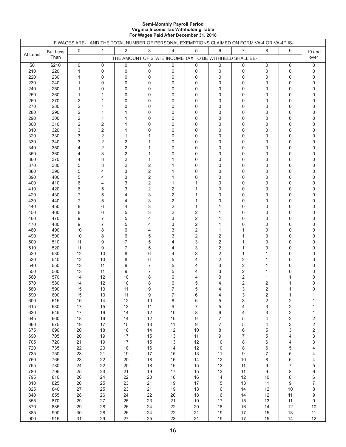#### **Semi-Monthly Payroll Period Virginia Income Tax Withholding Table For Wages Paid After December 31, 2018**

|            | IF WAGES ARE- AND THE TOTAL NUMBER OF PERSONAL EXEMPTIONS CLAIMED ON FORM VA-4 OR VA-4P IS- |                |                |                                  |                  |                |              |                                                         |                |        |                           |                                       |
|------------|---------------------------------------------------------------------------------------------|----------------|----------------|----------------------------------|------------------|----------------|--------------|---------------------------------------------------------|----------------|--------|---------------------------|---------------------------------------|
| At Least   | <b>But Less</b>                                                                             | $\mathbf 0$    | $\mathbf{1}$   | 2                                | 3                | 4              | 5            | 6                                                       | $\overline{7}$ | 8      | 9                         | 10 and                                |
|            | Than                                                                                        |                |                |                                  |                  |                |              | THE AMOUNT OF STATE INCOME TAX TO BE WITHHELD SHALL BE- |                |        |                           | over                                  |
| \$0        | \$210                                                                                       | $\mathbf 0$    | 0              | 0                                | $\pmb{0}$        | 0              | 0            | 0                                                       | 0              | 0      | 0                         | 0                                     |
| 210        | 220                                                                                         | 1              | 0              | 0                                | $\pmb{0}$        | 0              | 0            | 0                                                       | 0              | 0      | 0                         | 0                                     |
| 220        | 230                                                                                         | 1              | $\mathbf 0$    | 0                                | $\pmb{0}$        | 0              | 0            | 0                                                       | 0              | 0      | 0                         | 0                                     |
| 230        | 240                                                                                         | 1              | $\mathbf 0$    | 0                                | 0                | 0              | 0            | 0                                                       | 0              | 0      | 0                         | 0                                     |
| 240        | 250                                                                                         | 1              | $\mathbf 0$    | 0                                | $\pmb{0}$        | 0              | 0            | 0                                                       | 0              | 0      | $\mathbf 0$               | 0                                     |
| 250        | 260                                                                                         | 1              | $\mathbf{1}$   | 0                                | $\mathbf 0$      | $\Omega$       | 0            | $\Omega$                                                | $\Omega$       | 0      | $\mathbf 0$               | 0                                     |
| 260        | 270                                                                                         | $\overline{c}$ | $\mathbf{1}$   | 0                                | $\pmb{0}$        | 0              | $\mathbf 0$  | 0                                                       | 0              | 0      | 0                         | 0                                     |
| 270        | 280                                                                                         | $\sqrt{2}$     | $\mathbf{1}$   | 0                                | 0                | 0              | 0            | 0                                                       | 0              | 0      | 0                         | 0                                     |
| 280        | 290                                                                                         | $\overline{c}$ | $\mathbf{1}$   | $\mathbf{1}$                     | 0                | 0              | 0            | 0                                                       | 0              | 0      | 0                         | 0                                     |
| 290        | 300                                                                                         | 2              | $\mathbf{1}$   | $\mathbf{1}$                     | $\mathbf 0$      | 0              | 0            | $\Omega$                                                | $\Omega$       | 0      | $\mathbf 0$               | 0                                     |
| 300        | 310                                                                                         | $\overline{c}$ | $\overline{c}$ | $\mathbf{1}$                     | $\mathbf 0$      | 0              | 0            | 0                                                       | 0              | 0      | 0                         | 0                                     |
| 310        | 320                                                                                         | 3              | $\overline{2}$ | $\mathbf{1}$                     | 0                | 0              | 0            | 0                                                       | 0              | 0      | 0                         | 0                                     |
| 320        | 330                                                                                         | 3              | $\overline{2}$ | $\mathbf{1}$                     | $\mathbf{1}$     | 0              | 0            | 0                                                       | 0              | 0      | 0                         | 0                                     |
| 330        | 340                                                                                         | 3              | $\overline{2}$ | $\overline{2}$                   | $\mathbf{1}$     | 0              | 0            | 0                                                       | 0              | 0      | 0                         | 0                                     |
| 340        | 350                                                                                         | 4              | $\overline{2}$ | $\overline{2}$                   | $\mathbf{1}$     | 0              | 0            | 0                                                       | 0              | 0      | 0                         | 0                                     |
| 350        | 360                                                                                         | 4              | 3              | $\overline{2}$                   | $\mathbf{1}$     | 0              | 0            | 0                                                       | 0              | 0      | 0                         | 0                                     |
| 360        | 370                                                                                         | 4              | 3              | $\mathbf 2$                      | $\mathbf{1}$     | $\mathbf{1}$   | 0            | 0                                                       | 0              | 0      | 0                         | 0                                     |
| 370        | 380                                                                                         | 5              | 3              | $\overline{2}$                   | $\overline{2}$   | 1              | 0            | 0                                                       | 0              | 0      | 0                         | 0                                     |
| 380        | 390                                                                                         | $\,$ 5 $\,$    | 4              | 3                                | 2                | 1              | 0            | 0                                                       | 0              | 0      | 0                         | 0                                     |
| 390        | 400                                                                                         | 5              | 4              | 3                                | $\overline{2}$   | $\mathbf{1}$   | 0            | 0                                                       | 0              | 0      | 0                         | 0                                     |
| 400        | 410                                                                                         | 6              | 4              | 3                                | 2                | $\mathbf{1}$   | $\mathbf{1}$ | 0                                                       | 0              | 0      | 0                         | 0                                     |
| 410        | 420                                                                                         | 6              | 5              | 3                                | $\overline{2}$   | 2              | 1            | 0                                                       | 0              | 0      | 0                         | 0                                     |
| 420        | 430                                                                                         | 7              | 5              | 4                                | 3                | 2              | 1            | 0                                                       | 0              | 0      | 0                         | 0                                     |
| 430        | 440                                                                                         | 7              | 5              | 4                                | 3                | 2              | $\mathbf{1}$ | 0                                                       | 0              | 0      | 0                         | 0                                     |
| 440        | 450                                                                                         | 8              | 6              | 4                                | 3                | 2              | 1            | 1                                                       | 0              | 0      | $\mathbf 0$               | 0                                     |
| 450        | 460                                                                                         | 8              | 6              | 5                                | 3                | 2              | 2            | 1                                                       | 0              | 0      | 0                         | 0                                     |
| 460        | 470                                                                                         | 9              | $\overline{7}$ | 5                                | $\overline{4}$   | 3              | 2            | 1                                                       | 0              | 0      | 0                         | 0                                     |
| 470        | 480                                                                                         | 9              | $\overline{7}$ | 5                                | 4                | 3              | 2            | $\mathbf{1}$                                            | 0              | 0      | 0                         | 0                                     |
| 480        | 490                                                                                         | 10             | 8              | 6                                | 4                | 3              | 2            | $\mathbf{1}$                                            | 1              | 0      | $\mathbf 0$               | 0                                     |
| 490        | 500                                                                                         | 10             | 8              | 6                                | 5                | 3              | 2            | 2                                                       | 1              | 0      | 0                         | 0                                     |
| 500        | 510<br>520                                                                                  | 11<br>11       | 9              | $\overline{7}$<br>$\overline{7}$ | 5                | 4              | 3            | 2                                                       | 1              | 0      | 0                         | 0                                     |
| 510        |                                                                                             | 12             | 9              |                                  | 5                | 4              | 3<br>3       | 2                                                       | 1<br>1         | 0<br>1 | 0                         | 0                                     |
| 520<br>530 | 530<br>540                                                                                  | 12             | 10<br>10       | 8<br>8                           | 6<br>6           | 4<br>5         | 4            | 2<br>2                                                  | 2              |        | $\mathbf 0$<br>0          | 0<br>0                                |
| 540        | 550                                                                                         | 13             | 11             | 9                                | $\overline{7}$   | 5              | 4            | 3                                                       | 2              | 1      | $\mathbf 0$               | 0                                     |
| 550        | 560                                                                                         | 13             | 11             | 9                                | $\overline{7}$   | 5              | 4            | 3                                                       | 2              | 1      | 0                         | 0                                     |
| 560        | 570                                                                                         | 14             | 12             | 10                               | 8                | 6              | 4            | 3                                                       | 2              | 1      | 1                         | 0                                     |
| 570        | 580                                                                                         | 14             | 12             | 10                               | 8                | 6              | 5            | 4                                                       | 2              | 2      | 1                         | 0                                     |
| 580        | 590                                                                                         | 15             | 13             | 11                               | 9                | $\overline{7}$ | 5            | 4                                                       | 3              | 2      | $\mathbf{1}$              | 0                                     |
| 590        | 600                                                                                         | 15             | 13             | 11                               | $\boldsymbol{9}$ | 7              | 6            | 4                                                       | 3              | 2      | 1                         | 1                                     |
| 600        | 615                                                                                         | 16             | 14             | 12                               | $10$             | 8              | 6            | 5                                                       | 3              | 2      | $\sqrt{2}$                | 1                                     |
| 615        | 630                                                                                         | 17             | 15             | 13                               | 11               | 9              | 7            | 5                                                       | 4              | 3      | $\sqrt{2}$                | 1                                     |
| 630        | 645                                                                                         | 17             | 16             | 14                               | 12               | 10             | 8            | 6                                                       | 4              | 3      | $\overline{\mathbf{c}}$   | 1                                     |
| 645        | 660                                                                                         | 18             | 16             | 14                               | 12               | 10             | 9            | 7                                                       | 5              | 4      | $\sqrt{2}$                | $\overline{\mathbf{c}}$               |
| 660        | 675                                                                                         | 19             | 17             | 15                               | 13               | 11             | 9            | 7                                                       | 5              | 4      | $\ensuremath{\mathsf{3}}$ |                                       |
| 675        | 690                                                                                         | $20\,$         | 18             | 16                               | 14               | 12             | $10$         | 8                                                       | 6              | 5      | 3                         | $\begin{array}{c} 2 \\ 2 \end{array}$ |
| 690        | 705                                                                                         | 20             | 19             | 17                               | 15               | 13             | 11           | 9                                                       | 7              | 5      | 4                         | 3                                     |
| 705        | 720                                                                                         | 21             | 19             | $17$                             | 15               | 13             | 12           | 10                                                      | 8              | 6      | 4                         | 3                                     |
| 720        | 735                                                                                         | 22             | 20             | 18                               | 16               | 14             | 12           | 10                                                      | 8              | 6      | 5                         | 4                                     |
| 735        | 750                                                                                         | 23             | 21             | 19                               | 17               | 15             | 13           | 11                                                      | 9              | 7      | 5                         | 4                                     |
| 750        | 765                                                                                         | 23             | 22             | 20                               | 18               | $16$           | 14           | 12                                                      | 10             | 8      | 6                         | 4                                     |
| 765        | 780                                                                                         | 24             | 22             | $20\,$                           | 18               | 16             | 15           | 13                                                      | 11             | 9      | $\overline{7}$            | 5                                     |
| 780        | 795                                                                                         | 25             | 23             | 21                               | 19               | $17$           | 15           | 13                                                      | 11             | 9      | 8                         | 6                                     |
| 795        | 810                                                                                         | 26             | 24             | 22                               | 20               | 18             | $16$         | 14                                                      | 12             | 10     | 8                         | 6                                     |
| 810        | 825                                                                                         | 26             | 25             | 23                               | 21               | 19             | $17$         | 15                                                      | 13             | 11     | 9                         | 7                                     |
| 825        | 840                                                                                         | 27             | 25             | 23                               | 21               | 19             | 18           | 16                                                      | 14             | 12     | 10                        | 8                                     |
| 840        | 855                                                                                         | 28             | 26             | 24                               | 22               | $20\,$         | 18           | 16                                                      | 14             | 12     | 11                        | 9                                     |
| 855        | 870                                                                                         | 29             | 27             | 25                               | 23               | 21             | 19           | 17                                                      | 15             | 13     | 11                        | 9                                     |
| 870        | 885                                                                                         | 29             | 28             | 26                               | 24               | 22             | $20\,$       | 18                                                      | 16             | 14     | 12                        | 10                                    |
| 885        | 900                                                                                         | 30             | 28             | 26                               | 24               | 22             | 21           | 19                                                      | 17             | 15     | 13                        | 11                                    |
| 900        | 915                                                                                         | 31             | 29             | 27                               | 25               | 23             | 21           | 19                                                      | 17             | 15     | 14                        | 12                                    |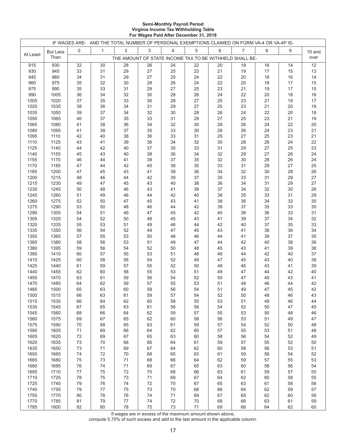#### **Semi-Monthly Payroll Period Virginia Income Tax Withholding Table For Wages Paid After December 31, 2018**

|              | IF WAGES ARE- AND THE TOTAL NUMBER OF PERSONAL EXEMPTIONS CLAIMED ON FORM VA-4 OR VA-4P IS- |          |              |                |          |                                                         |          |          |                |          |          |          |
|--------------|---------------------------------------------------------------------------------------------|----------|--------------|----------------|----------|---------------------------------------------------------|----------|----------|----------------|----------|----------|----------|
|              | <b>But Less</b>                                                                             | 0        | $\mathbf{1}$ | $\overline{2}$ | 3        | 4                                                       | 5        | 6        | $\overline{7}$ | 8        | 9        | 10 and   |
| At Least     | Than                                                                                        |          |              |                |          | THE AMOUNT OF STATE INCOME TAX TO BE WITHHELD SHALL BE- |          |          |                |          |          | over     |
| 915          | 930                                                                                         | 32       | 30           | 28             | 26       | 24                                                      | 22       | 20       | 18             | 16       | 14       | 12       |
| 930          | 945                                                                                         | 33       | 31           | 29             | 27       | 25                                                      | 23       | 21       | 19             | 17       | 15       | 13       |
| 945          | 960                                                                                         | 34       | 31           | 29             | 27       | 25                                                      | 24       | 22       | 20             | 18       | 16       | 14       |
| 960          | 975                                                                                         | 35       | 32           | 30             | 28       | 26                                                      | 24       | 22       | 20             | 18       | 17       | 15       |
| 975          | 990                                                                                         | 35       | 33           | 31             | 29       | 27                                                      | 25       | 23       | 21             | 19       | 17       | 15       |
| 990          | 1005                                                                                        | 36       | 34           | 32             | 30       | 28                                                      | 26       | 24       | 22             | 20       | 18       | $16\,$   |
| 1005         | 1020                                                                                        | 37       | 35           | 33             | 30       | 28                                                      | 27       | 25       | 23             | 21       | 19       | 17       |
| 1020         | 1035                                                                                        | 38       | 36           | 34             | 31       | 29                                                      | 27       | 25       | 23             | 21       | 20       | $18$     |
| 1035         | 1050                                                                                        | 39       | 37           | 34             | 32       | 30                                                      | 28       | 26       | 24             | 22       | 20       | 18       |
| 1050         | 1065                                                                                        | 40       | 37           | 35             | 33       | 31                                                      | 29       | 27       | 25             | 23       | 21       | $19$     |
| 1065         | 1080                                                                                        | 41       | 38           | 36             | 34       | 32                                                      | 30       | 28       | 26             | 24       | 22       | 20       |
| 1080         | 1095                                                                                        | 41       | 39           | 37             | 35       | 33                                                      | 30       | 28       | 26             | 24       | 23       | 21       |
| 1095         | 1110                                                                                        | 42       | 40           | 38             | 36       | 33                                                      | 31       | 29       | 27             | 25       | 23       | 21       |
| 1110         | 1125                                                                                        | 43       | 41           | 39<br>40       | 36       | 34                                                      | 32       | 30       | 28             | 26<br>27 | 24       | 22       |
| 1125<br>1140 | 1140<br>1155                                                                                | 44<br>45 | 42<br>43     | 40             | 37<br>38 | 35<br>36                                                | 33<br>34 | 31<br>32 | 29<br>29       | 27       | 25<br>26 | 23<br>24 |
| 1155         | 1170                                                                                        | 46       | 44           | 41             | 39       | 37                                                      | 35       | 32       | 30             | 28       | 26       | 24       |
| 1170         | 1185                                                                                        | 47       | 44           | 42             | 40       | 38                                                      | 35       | 33       | 31             | 29       | 27       | 25       |
| 1185         | 1200                                                                                        | 47       | 45           | 43             | 41       | 39                                                      | 36       | 34       | 32             | 30       | 28       | 26       |
| 1200         | 1215                                                                                        | 48       | 46           | 44             | 42       | 39                                                      | 37       | 35       | 33             | 31       | 29       | 27       |
| 1215         | 1230                                                                                        | 49       | 47           | 45             | 43       | 40                                                      | 38       | 36       | 34             | 31       | 29       | 27       |
| 1230         | 1245                                                                                        | 50       | 48           | 46             | 43       | 41                                                      | 39       | 37       | 34             | 32       | 30       | 28       |
| 1245         | 1260                                                                                        | 51       | 49           | 46             | 44       | 42                                                      | 40       | 38       | 35             | 33       | 31       | 29       |
| 1260         | 1275                                                                                        | 52       | 50           | 47             | 45       | 43                                                      | 41       | 38       | 36             | 34       | 32       | 30       |
| 1275         | 1290                                                                                        | 53       | 50           | 48             | 46       | 44                                                      | 42       | 39       | 37             | 35       | 33       | $30\,$   |
| 1290         | 1305                                                                                        | 54       | 51           | 49             | 47       | 45                                                      | 42       | 40       | 38             | 36       | 33       | 31       |
| 1305         | 1320                                                                                        | 54       | 52           | 50             | 48       | 45                                                      | 43       | 41       | 39             | 37       | 34       | 32       |
| 1320         | 1335                                                                                        | 55       | 53           | 51             | 49       | 46                                                      | 44       | 42       | 40             | 37       | 35       | 33       |
| 1335         | 1350                                                                                        | 56       | 54           | 52             | 49       | 47                                                      | 45       | 43       | 41             | 38       | 36       | 34       |
| 1350         | 1365                                                                                        | 57       | 55           | 53             | 50       | 48                                                      | 46       | 44       | 41             | 39       | 37       | 35       |
| 1365         | 1380                                                                                        | 58       | 56           | 53             | 51       | 49                                                      | 47       | 44       | 42             | 40       | 38       | 36       |
| 1380         | 1395                                                                                        | 59       | 56           | 54             | 52       | 50                                                      | 48       | 45       | 43             | 41       | 39       | 36       |
| 1395         | 1410                                                                                        | 60       | 57           | 55             | 53       | 51                                                      | 48       | 46       | 44             | 42       | 40       | 37       |
| 1410         | 1425                                                                                        | 60       | 58           | 56             | 54       | 52                                                      | 49       | 47       | 45             | 43       | 40       | 38       |
| 1425         | 1440                                                                                        | 61       | 59           | 57             | 55       | 52                                                      | 50       | 48       | 46             | 43       | 41       | 39       |
| 1440         | 1455                                                                                        | 62       | 60           | 58             | 55       | 53                                                      | 51       | 49       | 47             | 44       | 42       | 40       |
| 1455         | 1470                                                                                        | 63       | 61           | 59             | 56       | 54                                                      | 52       | 50       | 47             | 45       | 43       | 41       |
| 1470         | 1485                                                                                        | 64       | 62           | 59             | 57       | 55                                                      | 53       | 51       | 48             | 46       | 44       | 42       |
| 1485         | 1500                                                                                        | 65       | 63           | 60             | 58       | 56                                                      | 54       | 51       | 49             | 47       | 45       | 42       |
| 1500         | 1515                                                                                        | 66       | 63           | 61             | 59       | 57                                                      | 54       | 52       | 50             | 48       | 46       | 43       |
| 1515         | 1530                                                                                        | 66       | 64           | 62             | 60       | 58                                                      | 55       | 53       | 51             | 49       | 46       | 44       |
| 1530         | 1545                                                                                        | 67       | 65           | 63             | 61       | 58                                                      | 56       | 54       | 52             | 50       | 47       | 45       |
| 1545<br>1560 | 1560<br>1575                                                                                | 68<br>69 | 66<br>67     | 64             | 62<br>62 | 59<br>60                                                | 57<br>58 | 55<br>56 | 53<br>53       | 50<br>51 | 48<br>49 | 46<br>47 |
| 1575         | 1590                                                                                        | 70       | 68           | 65<br>65       | 63       | 61                                                      | 59       | 57       | 54             | 52       | 50       | 48       |
| 1590         | 1605                                                                                        | 71       | 69           | 66             | 64       | 62                                                      | 60       | 57       | 55             | 53       | 51       | 48       |
| 1605         | 1620                                                                                        | 72       | 69           | 67             | 65       | 63                                                      | 60       | 58       | 56             | 54       | 52       | 49       |
| 1620         | 1635                                                                                        | 73       | 70           | 68             | 66       | 64                                                      | 61       | 59       | 57             | 55       | 52       | 50       |
| 1635         | 1650                                                                                        | 73       | $71$         | 69             | 67       | 64                                                      | 62       | 60       | 58             | 56       | 53       | 51       |
| 1650         | 1665                                                                                        | 74       | 72           | 70             | 68       | 65                                                      | 63       | 61       | 59             | 56       | 54       | 52       |
| 1665         | 1680                                                                                        | 75       | 73           | 71             | 68       | 66                                                      | 64       | 62       | 59             | 57       | 55       | 53       |
| 1680         | 1695                                                                                        | 76       | 74           | 71             | 69       | 67                                                      | 65       | 63       | 60             | 58       | 56       | 54       |
| 1695         | 1710                                                                                        | 77       | 75           | 72             | 70       | 68                                                      | 66       | 63       | 61             | 59       | 57       | 55       |
| 1710         | 1725                                                                                        | 78       | 75           | 73             | $71$     | 69                                                      | 67       | 64       | 62             | 60       | 58       | 55       |
| 1725         | 1740                                                                                        | 79       | 76           | 74             | 72       | 70                                                      | 67       | 65       | 63             | 61       | 58       | 56       |
| 1740         | 1755                                                                                        | 79       | $77 \,$      | 75             | 73       | $70\,$                                                  | 68       | 66       | 64             | 62       | 59       | 57       |
| 1755         | 1770                                                                                        | 80       | 78           | 76             | 74       | 71                                                      | 69       | 67       | 65             | 62       | 60       | 58       |
| 1770         | 1785                                                                                        | 81       | 79           | $77 \,$        | 74       | 72                                                      | 70       | 68       | 66             | 63       | 61       | 59       |
| 1785         | 1800                                                                                        | 82       | 80           | 78             | 75       | 73                                                      | 71       | 69       | 66             | 64       | 62       | 60       |

If wages are in excess of the maximum amount shown above,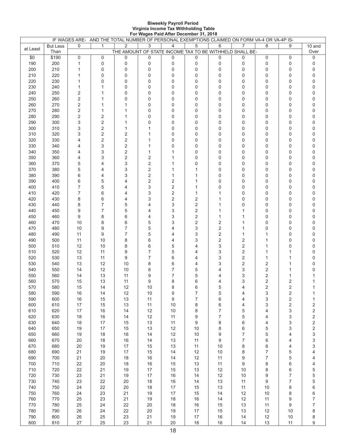#### **Biweekly Payroll Period Virginia Income Tax Withholding Table For Wages Paid After December 31, 2018**

|          |                 |                | IF WAGES ARE- AND THE TOTAL NUMBER OF PERSONAL EXEMPTIONS CLAIMED ON FORM VA-4 OR VA-4P IS- |                           |                |                |                |                                                         |                |                  |                         |                                       |
|----------|-----------------|----------------|---------------------------------------------------------------------------------------------|---------------------------|----------------|----------------|----------------|---------------------------------------------------------|----------------|------------------|-------------------------|---------------------------------------|
| at Least | <b>But Less</b> | 0              | $\mathbf{1}$                                                                                | 2                         | 3              | $\overline{4}$ | 5              | 6                                                       | $\overline{7}$ | 8                | 9                       | 10 and                                |
|          | Than            |                |                                                                                             |                           |                |                |                | THE AMOUNT OF STATE INCOME TAX TO BE WITHHELD SHALL BE- |                |                  |                         | Over                                  |
| \$0      | \$190           | 0              | 0                                                                                           | 0                         | 0              | 0              | 0              | 0                                                       | 0              | $\mathbf 0$      | 0                       | 0                                     |
| 190      | 200             | $\mathbf{1}$   | $\mathbf 0$                                                                                 | $\boldsymbol{0}$          | 0              | 0              | 0              | $\boldsymbol{0}$                                        | $\mathbf 0$    | $\pmb{0}$        | $\mathbf 0$             | $\mathsf 0$                           |
| 200      | 210             | 1              | $\mathbf 0$                                                                                 | $\mathbf 0$               | 0              | 0              | 0              | $\mathbf 0$                                             | $\mathbf 0$    | $\mathbf 0$      | 0                       | 0                                     |
| 210      | 220             | 1              | $\mathbf 0$                                                                                 | 0                         | 0              | 0              | 0              | $\Omega$                                                | $\mathbf 0$    | $\mathbf 0$      | $\mathbf 0$             | 0                                     |
| 220      | 230             | 1              | $\mathbf 0$                                                                                 | 0                         | 0              | 0              | 0              | 0                                                       | $\mathbf 0$    | $\mathbf 0$      | 0                       | 0                                     |
| 230      | 240             | $\mathbf{1}$   | $\mathbf{1}$                                                                                | 0                         | 0              | 0              | 0              | $\mathbf 0$                                             | 0              | $\mathbf 0$      | 0                       | 0                                     |
|          |                 |                | 1                                                                                           |                           |                |                |                |                                                         |                |                  |                         |                                       |
| 240      | 250             | 2              |                                                                                             | 0                         | 0              | 0              | 0              | 0                                                       | $\mathbf 0$    | 0                | 0                       | 0                                     |
| 250      | 260             | 2              | $\mathbf{1}$                                                                                | 0                         | 0              | 0              | 0              | $\mathbf 0$                                             | $\mathbf 0$    | $\mathbf 0$      | $\mathbf 0$             | 0                                     |
| 260      | 270             | $\sqrt{2}$     | $\mathbf{1}$                                                                                | $\mathbf{1}$              | 0              | 0              | 0              | $\mathbf 0$                                             | $\mathbf 0$    | $\mathbf 0$      | 0                       | 0                                     |
| 270      | 280             | $\sqrt{2}$     | $\mathbf{1}$                                                                                | $\mathbf{1}$              | 0              | 0              | 0              | $\mathbf 0$                                             | $\mathbf 0$    | $\mathbf 0$      | $\mathbf 0$             | 0                                     |
| 280      | 290             | $\sqrt{2}$     | $\sqrt{2}$                                                                                  | 1                         | $\mathbf 0$    | 0              | $\mathbf{0}$   | $\mathbf 0$                                             | $\mathbf 0$    | $\mathbf 0$      | 0                       | 0                                     |
| 290      | 300             | 3              | $\sqrt{2}$                                                                                  | 1                         | 0              | 0              | 0              | $\mathbf 0$                                             | $\mathbf 0$    | $\mathbf 0$      | 0                       | 0                                     |
| 300      | 310             | 3              | $\sqrt{2}$                                                                                  | 1                         | 1              | 0              | 0              | $\mathbf 0$                                             | 0              | 0                | 0                       | 0                                     |
| 310      | 320             | 3              | $\overline{2}$                                                                              | $\mathbf 2$               | $\mathbf{1}$   | 0              | 0              | $\mathbf 0$                                             | $\mathbf 0$    | $\mathbf 0$      | 0                       | 0                                     |
| 320      | 330             | 4              | $\sqrt{2}$                                                                                  | $\mathbf 2$               | $\mathbf{1}$   | 0              | 0              | $\mathbf 0$                                             | $\mathbf 0$    | $\mathbf 0$      | 0                       | 0                                     |
| 330      | 340             | 4              | 3                                                                                           | $\overline{\mathbf{c}}$   | 1              | 0              | 0              | $\mathbf 0$                                             | 0              | 0                | $\mathbf 0$             | 0                                     |
|          |                 |                |                                                                                             |                           | $\mathbf{1}$   | $\mathbf{1}$   | 0              | $\overline{0}$                                          | 0              | $\mathbf 0$      | 0                       |                                       |
| 340      | 350             | 4              | 3                                                                                           | $\mathbf 2$               |                |                |                |                                                         |                |                  |                         | 0                                     |
| 350      | 360             | 4              | 3                                                                                           | $\mathbf 2$               | 2              | 1              | 0              | 0                                                       | $\overline{0}$ | $\mathbf 0$      | $\mathbf 0$             | 0                                     |
| 360      | 370             | 5              | $\overline{4}$                                                                              | 3                         | 2              | 1              | 0              | $\Omega$                                                | $\Omega$       | $\mathbf 0$      | 0                       | $\mathbf 0$                           |
| 370      | 380             | 5              | 4                                                                                           | $\ensuremath{\mathsf{3}}$ | $\overline{c}$ | 1              | 1              | $\mathbf 0$                                             | $\overline{0}$ | 0                | $\mathbf 0$             | 0                                     |
| 380      | 390             | 6              | 4                                                                                           | 3                         | $\overline{c}$ | $\mathbf{1}$   | 1              | $\overline{0}$                                          | 0              | $\mathbf 0$      | 0                       | 0                                     |
| 390      | 400             | 6              | 5                                                                                           | 4                         | $\overline{2}$ | 2              | 1              | 0                                                       | $\overline{0}$ | $\mathbf 0$      | 0                       | 0                                     |
| 400      | 410             | $\overline{7}$ | 5                                                                                           | 4                         | 3              | 2              | 1              | 0                                                       | 0              | $\mathbf 0$      | $\mathbf 0$             | 0                                     |
| 410      | 420             | $\overline{7}$ | 6                                                                                           | 4                         | 3              | 2              | 1              | 1                                                       | $\overline{0}$ | 0                | $\mathbf 0$             | 0                                     |
| 420      | 430             | 8              | 6                                                                                           | 4                         | 3              | 2              | $\overline{2}$ | $\mathbf{1}$                                            | 0              | $\mathbf 0$      | $\mathbf 0$             | 0                                     |
| 430      | 440             | 8              | $\overline{7}$                                                                              | 5                         | 4              | 3              | $\overline{2}$ | 1                                                       | 0              | $\mathbf 0$      | $\mathbf 0$             | 0                                     |
| 440      | 450             | 9              | $\overline{7}$                                                                              | 5                         | 4              | 3              | 2              | $\mathbf{1}$                                            | 1              | $\mathbf 0$      | 0                       | 0                                     |
|          |                 |                |                                                                                             |                           |                |                |                |                                                         |                |                  |                         |                                       |
| 450      | 460             | 9              | 8                                                                                           | 6                         | 4              | 3              | $\overline{c}$ | $\mathbf{1}$                                            | 1              | $\mathbf 0$      | 0                       | 0                                     |
| 460      | 470             | 10             | 8                                                                                           | 6                         | 5              | 3              | $\overline{2}$ | $\sqrt{2}$                                              | 1              | $\mathbf 0$      | 0                       | 0                                     |
| 470      | 480             | 10             | 9                                                                                           | $\overline{7}$            | 5              | 4              | 3              | $\sqrt{2}$                                              | 1              | 0                | 0                       | 0                                     |
| 480      | 490             | 11             | 9                                                                                           | $\overline{7}$            | 5              | 4              | 3              | $\overline{2}$                                          | 1              | 1                | $\mathbf 0$             | 0                                     |
| 490      | 500             | 11             | 10                                                                                          | 8                         | 6              | 4              | 3              | $\overline{2}$                                          | $\sqrt{2}$     | 1                | 0                       | 0                                     |
| 500      | 510             | 12             | 10                                                                                          | 8                         | 6              | 5              | 4              | 3                                                       | 2              | 1                | 0                       | 0                                     |
| 510      | 520             | 12             | 11                                                                                          | 9                         | 7              | 5              | $\overline{4}$ | 3                                                       | 2              | 1                | 1                       | 0                                     |
| 520      | 530             | 13             | 11                                                                                          | 9                         | 7              | 6              | 4              | 3                                                       | 2              | 1                | 1                       | 0                                     |
| 530      | 540             | 13             | 12                                                                                          | 10                        | 8              | 6              | 4              | 3                                                       | 2              | $\overline{c}$   | 1                       | 0                                     |
| 540      | 550             | 14             | 12                                                                                          | 10                        | 8              | 7              | 5              | 4                                                       | 3              | 2                | 1                       | 0                                     |
|          |                 |                |                                                                                             |                           |                |                |                |                                                         |                |                  |                         |                                       |
| 550      | 560             | 14             | 13                                                                                          | 11                        | 9              | 7              | 5              | 4                                                       | 3              | 2                | 1                       | 1                                     |
| 560      | 570             | 15             | 13                                                                                          | 11                        | 9              | 8              | 6              | 4                                                       | 3              | 2                | 2                       | 1                                     |
| 570      | 580             | 15             | 14                                                                                          | 12                        | 10             | 8              | 6              | 5                                                       | 4              | 2                | $\overline{2}$          | $\mathbf{1}$                          |
| 580      | 590             | 16             | 14                                                                                          | 12                        | 10             | 9              | 7              | 5                                                       | 4              | 3                | 2                       | 1                                     |
| 590      | 600             | 16             | 15                                                                                          | 13                        | 11             | 9              | $\overline{7}$ | 6                                                       | 4              | 3                | $\overline{\mathbf{c}}$ | $\mathbf{1}$                          |
| 600      | 610             | 17             | 15                                                                                          | 13                        | 11             | $10$           | 8              | 6                                                       | 4              | 3                | $\overline{c}$          | $\boldsymbol{2}$                      |
| 610      | 620             | 17             | 16                                                                                          | 14                        | 12             | 10             | 8              | 7                                                       | 5              | 4                | 3                       | $\overline{\mathbf{c}}$               |
| 620      | 630             | 18             | 16                                                                                          | 14                        | 12             | 11             | 9              | 7                                                       | 5              | 4                | 3                       | $\overline{\mathbf{c}}$               |
| 630      | 640             | 18             | 17                                                                                          | 15                        | 13             | 11             | 9              | 8                                                       | 6              | 4                | 3                       |                                       |
| 640      | 650             | 19             | 17                                                                                          | 15                        | 13             | 12             | 10             | 8                                                       | 6              | 5                | 3                       | $\begin{array}{c} 2 \\ 2 \end{array}$ |
| 650      | 660             | 19             | 18                                                                                          | 16                        | 14             | 12             | 10             | 9                                                       | $\overline{7}$ | 5                | 4                       | 3                                     |
| 660      | 670             | 20             | 18                                                                                          | 16                        | 14             | 13             |                | 9                                                       | $\overline{7}$ | 6                |                         | 3                                     |
|          |                 |                |                                                                                             |                           |                |                | 11             |                                                         |                |                  | 4                       |                                       |
| 670      | 680             | 20             | 19                                                                                          | 17                        | 15             | 13             | 11             | 10                                                      | 8              | 6                | 4                       | 3                                     |
| 680      | 690             | 21             | 19                                                                                          | 17                        | 15             | 14             | 12             | $10$                                                    | 8              | $\boldsymbol{7}$ | 5                       | $\overline{\mathcal{A}}$              |
| 690      | 700             | 21             | 20                                                                                          | 18                        | 16             | 14             | 12             | 11                                                      | 9              | $\boldsymbol{7}$ | 5                       | 4                                     |
| 700      | 710             | 22             | 20                                                                                          | 18                        | 16             | 15             | 13             | 11                                                      | 9              | 8                | 6                       | $\overline{\mathcal{L}}$              |
| 710      | 720             | 22             | 21                                                                                          | 19                        | 17             | 15             | 13             | 12                                                      | 10             | 8                | 6                       | 5                                     |
| 720      | 730             | 23             | 21                                                                                          | 19                        | 17             | $16$           | 14             | 12                                                      | 10             | 9                | 7                       | 5                                     |
| 730      | 740             | 23             | 22                                                                                          | 20                        | 18             | $16$           | 14             | 13                                                      | 11             | 9                | $\overline{7}$          |                                       |
| 740      | 750             | 24             | 22                                                                                          | 20                        | 18             | $17\,$         | 15             | 13                                                      | 11             | 10               | 8                       | $\begin{array}{c} 5 \\ 6 \end{array}$ |
| 750      | 760             | 24             | 23                                                                                          | 21                        | 19             | $17\,$         | 15             | 14                                                      | 12             | 10               | 8                       | $\overline{6}$                        |
|          |                 |                |                                                                                             |                           |                |                |                |                                                         |                |                  |                         |                                       |
| 760      | 770             | 25             | 23                                                                                          | 21                        | 19             | 18             | $16$           | 14                                                      | 12             | 11               | 9                       | $\overline{7}$                        |
| 770      | 780             | 25             | 24                                                                                          | 22                        | 20             | 18             | 16             | 15                                                      | 13             | 11               | 9                       | $\boldsymbol{7}$                      |
| 780      | 790             | 26             | 24                                                                                          | 22                        | 20             | 19             | 17             | 15                                                      | 13             | 12               | 10                      | 8                                     |
| 790      | 800             | 26             | 25                                                                                          | 23                        | 21             | 19             | $17$           | $16\,$                                                  | 14             | 12               | $10$                    | 8                                     |
| 800      | 810             | 27             | 25                                                                                          | 23                        | 21             | 20             | $18$           | 16                                                      | 14             | 13               | 11                      | 9                                     |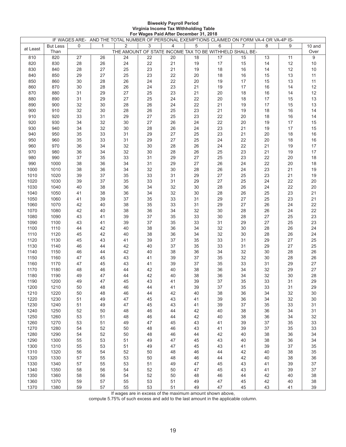#### **Biweekly Payroll Period Virginia Income Tax Withholding Table For Wages Paid After December 31, 2018**

|          | IF WAGES ARE- AND THE TOTAL NUMBER OF PERSONAL EXEMPTIONS CLAIMED ON FORM VA-4 OR VA-4P IS- |    |              |                                                         |    |                |    |    |                |    |    |        |
|----------|---------------------------------------------------------------------------------------------|----|--------------|---------------------------------------------------------|----|----------------|----|----|----------------|----|----|--------|
| at Least | <b>But Less</b>                                                                             | 0  | $\mathbf{1}$ | 2                                                       | 3  | $\overline{4}$ | 5  | 6  | $\overline{7}$ | 8  | 9  | 10 and |
|          | Than                                                                                        |    |              | THE AMOUNT OF STATE INCOME TAX TO BE WITHHELD SHALL BE- |    |                |    |    |                |    |    | Over   |
| 810      | 820                                                                                         | 27 | 26           | 24                                                      | 22 | 20             | 18 | 17 | 15             | 13 | 11 | 9      |
| 820      | 830                                                                                         | 28 | 26           | 24                                                      | 22 | 21             | 19 | 17 | 15             | 14 | 12 | $10$   |
| 830      | 840                                                                                         | 28 | 27           | 25                                                      | 23 | 21             | 19 | 18 | 16             | 14 | 12 | 10     |
| 840      | 850                                                                                         | 29 | 27           | 25                                                      | 23 | 22             | 20 | 18 | 16             | 15 | 13 | 11     |
| 850      | 860                                                                                         | 30 | 28           | 26                                                      | 24 | 22             | 20 | 19 | 17             | 15 | 13 | 11     |
| 860      | 870                                                                                         | 30 | 28           | 26                                                      | 24 | 23             | 21 | 19 | 17             | 16 | 14 | 12     |
| 870      | 880                                                                                         | 31 | 29           | 27                                                      | 25 | 23             | 21 | 20 | 18             | 16 | 14 | 12     |
| 880      | 890                                                                                         | 31 | 29           | 27                                                      | 25 | 24             | 22 | 20 | 18             | 17 | 15 | 13     |
| 890      | 900                                                                                         | 32 | 30           | 28                                                      | 26 | 24             | 22 | 21 | 19             | 17 | 15 | 13     |
|          |                                                                                             |    |              |                                                         |    |                |    |    |                |    |    |        |
| 900      | 910                                                                                         | 32 | 30           | 28                                                      | 26 | 25             | 23 | 21 | 19             | 18 | 16 | 14     |
| 910      | 920                                                                                         | 33 | 31           | 29                                                      | 27 | 25             | 23 | 22 | 20             | 18 | 16 | 14     |
| 920      | 930                                                                                         | 34 | 32           | 30                                                      | 27 | 26             | 24 | 22 | 20             | 19 | 17 | 15     |
| 930      | 940                                                                                         | 34 | 32           | 30                                                      | 28 | 26             | 24 | 23 | 21             | 19 | 17 | 15     |
| 940      | 950                                                                                         | 35 | 33           | 31                                                      | 29 | 27             | 25 | 23 | 21             | 20 | 18 | $16\,$ |
| 950      | 960                                                                                         | 35 | 33           | 31                                                      | 29 | 27             | 25 | 24 | 22             | 20 | 18 | $16$   |
| 960      | 970                                                                                         | 36 | 34           | 32                                                      | 30 | 28             | 26 | 24 | 22             | 21 | 19 | 17     |
| 970      | 980                                                                                         | 36 | 34           | 32                                                      | 30 | 28             | 26 | 25 | 23             | 21 | 19 | 17     |
| 980      | 990                                                                                         | 37 | 35           | 33                                                      | 31 | 29             | 27 | 25 | 23             | 22 | 20 | 18     |
| 990      | 1000                                                                                        | 38 | 36           | 34                                                      | 31 | 29             | 27 | 26 | 24             | 22 | 20 | $18$   |
| 1000     | 1010                                                                                        | 38 | 36           | 34                                                      | 32 | 30             | 28 | 26 | 24             | 23 | 21 | $19$   |
| 1010     | 1020                                                                                        | 39 | 37           | 35                                                      | 33 | 31             | 29 | 27 | 25             | 23 | 21 | $19$   |
| 1020     | 1030                                                                                        | 39 | 37           | 35                                                      | 33 | 31             | 29 | 27 | 25             | 24 | 22 | $20\,$ |
| 1030     | 1040                                                                                        | 40 | 38           | 36                                                      | 34 | 32             | 30 | 28 | 26             | 24 | 22 | $20\,$ |
| 1040     | 1050                                                                                        | 41 | 38           | 36                                                      | 34 | 32             | 30 | 28 | 26             | 25 | 23 | 21     |
|          |                                                                                             |    |              |                                                         |    |                |    |    |                |    |    |        |
| 1050     | 1060                                                                                        | 41 | 39           | 37                                                      | 35 | 33             | 31 | 29 | 27             | 25 | 23 | 21     |
| 1060     | 1070                                                                                        | 42 | 40           | 38                                                      | 35 | 33             | 31 | 29 | 27             | 26 | 24 | 22     |
| 1070     | 1080                                                                                        | 42 | 40           | 38                                                      | 36 | 34             | 32 | 30 | 28             | 26 | 24 | 22     |
| 1080     | 1090                                                                                        | 43 | 41           | 39                                                      | 37 | 35             | 33 | 30 | 28             | 27 | 25 | 23     |
| 1090     | 1100                                                                                        | 43 | 41           | 39                                                      | 37 | 35             | 33 | 31 | 29             | 27 | 25 | 23     |
| 1100     | 1110                                                                                        | 44 | 42           | 40                                                      | 38 | 36             | 34 | 32 | 30             | 28 | 26 | 24     |
| 1110     | 1120                                                                                        | 45 | 42           | 40                                                      | 38 | 36             | 34 | 32 | 30             | 28 | 26 | 24     |
| 1120     | 1130                                                                                        | 45 | 43           | 41                                                      | 39 | 37             | 35 | 33 | 31             | 29 | 27 | 25     |
| 1130     | 1140                                                                                        | 46 | 44           | 42                                                      | 40 | 37             | 35 | 33 | 31             | 29 | 27 | 25     |
| 1140     | 1150                                                                                        | 46 | 44           | 42                                                      | 40 | 38             | 36 | 34 | 32             | 30 | 28 | $26\,$ |
| 1150     | 1160                                                                                        | 47 | 45           | 43                                                      | 41 | 39             | 37 | 35 | 32             | 30 | 28 | 26     |
| 1160     | 1170                                                                                        | 47 | 45           | 43                                                      | 41 | 39             | 37 | 35 | 33             | 31 | 29 | 27     |
| 1170     | 1180                                                                                        | 48 | 46           | 44                                                      | 42 | 40             | 38 | 36 | 34             | 32 | 29 | 27     |
| 1180     | 1190                                                                                        | 49 | 47           | 44                                                      | 42 | 40             | 38 | 36 | 34             | 32 | 30 | 28     |
| 1190     | 1200                                                                                        | 49 | 47           | 45                                                      | 43 | 41             | 39 | 37 | 35             | 33 | 31 | 29     |
|          |                                                                                             |    |              |                                                         |    |                |    |    |                |    |    |        |
| 1200     | 1210                                                                                        | 50 | 48           | 46                                                      | 44 | 41             | 39 | 37 | 35             | 33 | 31 | 29     |
| 1210     | 1220                                                                                        | 50 | 48           | 46                                                      | 44 | 42             | 40 | 38 | 36             | 34 | 32 | 30     |
| 1220     | 1230                                                                                        | 51 | 49           | 47                                                      | 45 | 43             | 41 | 39 | 36             | 34 | 32 | 30     |
| 1230     | 1240                                                                                        | 51 | 49           | 47                                                      | 45 | 43             | 41 | 39 | 37             | 35 | 33 | 31     |
| 1240     | 1250                                                                                        | 52 | 50           | 48                                                      | 46 | 44             | 42 | 40 | 38             | 36 | 34 | 31     |
| 1250     | 1260                                                                                        | 53 | 51           | 48                                                      | 46 | 44             | 42 | 40 | 38             | 36 | 34 | 32     |
| 1260     | 1270                                                                                        | 53 | 51           | 49                                                      | 47 | 45             | 43 | 41 | 39             | 37 | 35 | 33     |
| 1270     | 1280                                                                                        | 54 | 52           | 50                                                      | 48 | 46             | 43 | 41 | 39             | 37 | 35 | 33     |
| 1280     | 1290                                                                                        | 54 | 52           | 50                                                      | 48 | 46             | 44 | 42 | 40             | 38 | 36 | 34     |
| 1290     | 1300                                                                                        | 55 | 53           | 51                                                      | 49 | 47             | 45 | 43 | 40             | 38 | 36 | 34     |
| 1300     | 1310                                                                                        | 55 | 53           | 51                                                      | 49 | 47             | 45 | 43 | 41             | 39 | 37 | 35     |
| 1310     | 1320                                                                                        | 56 | 54           | 52                                                      | 50 | 48             | 46 | 44 | 42             | 40 | 38 | 35     |
| 1320     | 1330                                                                                        | 57 | 55           | 53                                                      | 50 | 48             | 46 | 44 | 42             | 40 | 38 | 36     |
| 1330     | 1340                                                                                        | 57 | 55           | 53                                                      | 51 | 49             | 47 | 45 | 43             | 41 | 39 | 37     |
|          |                                                                                             |    |              |                                                         |    |                |    |    |                |    |    |        |
| 1340     | 1350                                                                                        | 58 | 56           | 54                                                      | 52 | 50             | 47 | 45 | 43             | 41 | 39 | 37     |
| 1350     | 1360                                                                                        | 58 | 56           | 54                                                      | 52 | 50             | 48 | 46 | 44             | 42 | 40 | 38     |
| 1360     | 1370                                                                                        | 59 | 57           | 55                                                      | 53 | 51             | 49 | 47 | 45             | 42 | 40 | 38     |
| 1370     | 1380                                                                                        | 59 | 57           | 55                                                      | 53 | 51             | 49 | 47 | 45             | 43 | 41 | 39     |

If wages are in excess of the maximum amount shown above,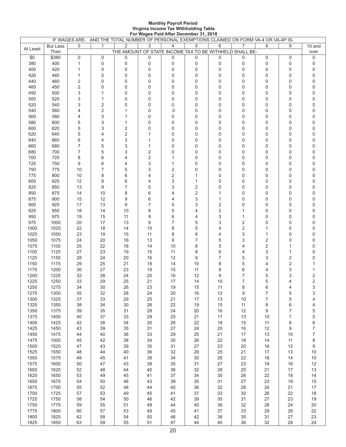#### **Monthly Payroll Period Virginia Income Tax Withholding Table For Wages Paid After December 31, 2018**

|          |                 |                         | IF WAGES ARE- AND THE TOTAL NUMBER OF PERSONAL EXEMPTIONS CLAIMED ON FORM VA-4 OR VA-4P IS- |                                                         |                  |                  |                |                |                |                |                         |                  |
|----------|-----------------|-------------------------|---------------------------------------------------------------------------------------------|---------------------------------------------------------|------------------|------------------|----------------|----------------|----------------|----------------|-------------------------|------------------|
| At Least | <b>But Less</b> | 0                       | $\mathbf{1}$                                                                                | 2                                                       | 3                | $\overline{4}$   | 5              | 6              | 7              | 8              | 9                       | 10 and           |
|          | Than            |                         |                                                                                             | THE AMOUNT OF STATE INCOME TAX TO BE WITHHELD SHALL BE- |                  |                  |                |                |                |                |                         | over             |
| \$0      | \$380           | 0                       | 0                                                                                           | 0                                                       | 0                | $\pmb{0}$        | 0              | 0              | 0              | 0              | 0                       | 0                |
| 380      | 400             | 1                       | 0                                                                                           | 0                                                       | $\boldsymbol{0}$ | $\boldsymbol{0}$ | 0              | 0              | 0              | 0              | 0                       | 0                |
| 400      | 420             | 1                       | $\mathbf 0$                                                                                 | 0                                                       | $\mathbf 0$      | 0                | 0              | $\mathbf 0$    | 0              | 0              | 0                       | 0                |
| 420      | 440             | 1                       | $\mathbf 0$                                                                                 | 0                                                       | $\mathbf 0$      | 0                | $\mathbf 0$    | 0              | 0              | 0              | 0                       | 0                |
| 440      | 460             | $\overline{\mathbf{c}}$ | $\mathbf 0$                                                                                 | 0                                                       | $\pmb{0}$        | 0                | 0              | 0              | 0              | 0              | 0                       | 0                |
| 460      | 450             | 2                       | $\mathbf 0$                                                                                 | 0                                                       | $\pmb{0}$        | 0                | $\mathbf 0$    | 0              | $\overline{0}$ | $\overline{0}$ | 0                       | $\mathbf 0$      |
| 450      | 500             | 3                       | $\mathbf{1}$                                                                                | 0                                                       | $\mathbf 0$      | 0                | 0              | 0              | 0              | 0              | 0                       | 0                |
| 500      | 520             | 3                       | $\mathbf{1}$                                                                                | 0                                                       | $\pmb{0}$        | 0                | $\mathbf 0$    | 0              | 0              | 0              | 0                       | 0                |
|          |                 |                         |                                                                                             |                                                         |                  |                  |                | 0              |                |                |                         |                  |
| 520      | 540             | 3                       | $\sqrt{2}$                                                                                  | 0                                                       | $\pmb{0}$        | 0                | 0              |                | 0              | 0              | 0                       | 0                |
| 540      | 560             | 4                       | $\overline{2}$                                                                              | $\mathbf{1}$                                            | $\pmb{0}$        | $\mathbf 0$      | $\mathbf 0$    | 0              | 0              | $\mathbf 0$    | 0                       | 0                |
| 560      | 580             | 4                       | 3                                                                                           | 1                                                       | $\mathbf 0$      | 0                | $\mathbf 0$    | 0              | 0              | 0              | 0                       | $\mathbf 0$      |
| 580      | 600             | 5                       | 3                                                                                           | $\mathbf{1}$                                            | 0                | 0                | $\mathbf 0$    | 0              | 0              | 0              | 0                       | 0                |
| 600      | 620             | 5                       | 3                                                                                           | $\mathbf 2$                                             | 0                | 0                | $\mathbf 0$    | 0              | 0              | 0              | 0                       | $\mathbf 0$      |
| 620      | 640             | 5                       | 4                                                                                           | $\mathbf 2$                                             | $\mathbf{1}$     | 0                | $\mathbf 0$    | 0              | 0              | 0              | 0                       | 0                |
| 640      | 660             | 6                       | 4                                                                                           | 3                                                       | 1                | 0                | $\mathbf 0$    | 0              | 0              | 0              | 0                       | $\mathbf 0$      |
| 660      | 680             | 7                       | 5                                                                                           | 3                                                       | $\mathbf{1}$     | 0                | $\mathbf 0$    | 0              | 0              | 0              | 0                       | 0                |
| 680      | 700             | 7                       | 5                                                                                           | 3                                                       | $\sqrt{2}$       | 0                | $\mathbf 0$    | 0              | $\overline{0}$ | 0              | 0                       | 0                |
| 700      | 725             | 8                       | 6                                                                                           | 4                                                       | $\overline{2}$   | $\mathbf{1}$     | $\mathbf 0$    | 0              | 0              | 0              | 0                       | 0                |
| 725      | 750             | 9                       | 6                                                                                           | 4                                                       | 3                | 1                | $\mathbf 0$    | 0              | 0              | 0              | 0                       | 0                |
| 750      | 775             | 10                      | 7                                                                                           | 5                                                       | 3                | $\sqrt{2}$       | $\mathbf 0$    | 0              | 0              | 0              | 0                       | 0                |
| 775      | 800             | 10                      | 8                                                                                           | 6                                                       | $\overline{4}$   | $\sqrt{2}$       | 1              | 0              | $\overline{0}$ | 0              | 0                       | 0                |
| 800      | 825             | 12                      | 9                                                                                           | 6                                                       | 4                | 3                | 1              | 0              | 0              | 0              | 0                       | 0                |
| 825      | 850             | 13                      | 9                                                                                           | $\overline{7}$                                          | 5                | 3                | $\overline{2}$ | 0              | 0              | 0              | 0                       | $\mathbf 0$      |
|          |                 | 14                      |                                                                                             | 8                                                       | 6                | $\overline{4}$   | $\overline{c}$ |                |                |                |                         |                  |
| 850      | 875             |                         | 10                                                                                          |                                                         |                  |                  |                | 1              | 0              | 0              | 0                       | 0                |
| 875      | 900             | 15                      | 12                                                                                          | 9                                                       | 6                | 4                | 3              | 1              | 0              | 0              | 0                       | 0                |
| 900      | 925             | 17                      | 13                                                                                          | 9                                                       | $\overline{7}$   | 5                | 3              | 2              | 0              | 0              | 0                       | 0                |
| 925      | 950             | 18                      | 14                                                                                          | 10                                                      | 8                | 5                | 4              | 2              | 1              | 0              | 0                       | $\mathbf 0$      |
| 950      | 975             | 19                      | 15                                                                                          | 11                                                      | 9                | 6                | 4              | 3              | 1              | $\mathbf 0$    | 0                       | 0                |
| 975      | 1000            | 20                      | 17                                                                                          | 13                                                      | 9                | 7                | 5              | 3              | 2              | 0              | 0                       | $\mathbf 0$      |
| 1000     | 1025            | 22                      | 18                                                                                          | 14                                                      | 10               | 8                | 5              | 4              | 2              | 1              | 0                       | 0                |
| 1025     | 1050            | 23                      | 19                                                                                          | 15                                                      | 11               | 8                | 6              | 4              | 3              | 1              | 0                       | $\mathbf 0$      |
| 1050     | 1075            | 24                      | 20                                                                                          | 16                                                      | 13               | 9                | 7              | 5              | 3              | 2              | 0                       | 0                |
| 1075     | 1100            | 25                      | 22                                                                                          | 18                                                      | 14               | 10               | 8              | 5              | 4              | 2              | 1                       | 0                |
| 1100     | 1125            | 27                      | 23                                                                                          | 19                                                      | 15               | 11               | 8              | 6              | 4              | 3              | 1                       | 0                |
| 1125     | 1150            | 28                      | 24                                                                                          | 20                                                      | 16               | 12               | 9              | $\overline{7}$ | 5              | 3              | 2                       | $\mathbf 0$      |
| 1150     | 1175            | 29                      | 25                                                                                          | 21                                                      | 18               | 14               | 10             | 8              | 5              | 4              | $\overline{\mathbf{c}}$ | 1                |
| 1175     | 1200            | 30                      | 27                                                                                          | 23                                                      | 19               | 15               | 11             | 8              | 6              | 4              | 3                       | 1                |
| 1200     | 1225            | 32                      | 28                                                                                          | 24                                                      | 20               | 16               | 12             | 9              | 7              | 5              | 3                       | $\sqrt{2}$       |
| 1225     | 1250            | 33                      | 29                                                                                          | 25                                                      | 21               | 17               | 14             | 10             | 7              | 5              | 4                       | $\mathbf 2$      |
| 1250     | 1275            | 34                      | 30                                                                                          | 26                                                      | 23               | 19               | 15             | 11             | 8              | 6              | 4                       | 3                |
|          |                 |                         |                                                                                             |                                                         |                  |                  |                |                |                |                |                         |                  |
| 1275     | 1300            | 35                      | 32                                                                                          | 28                                                      | 24               | 20               | 16             | 12             | 9              | 7              | 5                       | 3                |
| 1300     | 1325            | 37                      | 33                                                                                          | 29                                                      | 25               | 21               | 17             | 13             | 10             | 7              | 5                       | 4                |
| 1325     | 1350            | 38                      | 34                                                                                          | 30                                                      | 26               | 22               | 19             | 15             | 11             | 8              | 6                       | 4                |
| 1350     | 1375            | 39                      | 35                                                                                          | 31                                                      | 28               | 24               | 20             | 16             | 12             | 9              | $\overline{7}$          | 5                |
| 1375     | 1400            | 40                      | 37                                                                                          | 33                                                      | 29               | 25               | 21             | 17             | 13             | 10             | 7                       | 5                |
| 1400     | 1425            | 42                      | 38                                                                                          | 34                                                      | $30\,$           | 26               | 22             | 18             | 15             | 11             | 8                       | 6                |
| 1425     | 1450            | 43                      | 39                                                                                          | 35                                                      | 31               | 27               | 24             | 20             | 16             | 12             | 9                       | $\overline{7}$   |
| 1450     | 1475            | 44                      | 40                                                                                          | 36                                                      | 33               | 29               | 25             | 21             | 17             | 13             | 10                      | $\boldsymbol{7}$ |
| 1475     | 1500            | 45                      | 42                                                                                          | 38                                                      | 34               | 30               | 26             | 22             | 18             | 14             | 11                      | 8                |
| 1500     | 1525            | 47                      | 43                                                                                          | 39                                                      | 35               | 31               | 27             | 23             | 20             | 16             | 12                      | 9                |
| 1525     | 1550            | 48                      | 44                                                                                          | 40                                                      | 36               | 32               | 29             | 25             | 21             | 17             | 13                      | 10               |
| 1550     | 1575            | 49                      | 45                                                                                          | 41                                                      | 38               | 34               | 30             | 26             | 22             | 18             | 14                      | 10               |
| 1575     | 1600            | 50                      | 47                                                                                          | 43                                                      | 39               | 35               | 31             | 27             | 23             | 19             | 16                      | 12               |
| 1600     | 1625            | 52                      | 48                                                                                          | 44                                                      | 40               | 36               | 32             | 28             | 25             | 21             | $17$                    | 13               |
| 1625     | 1650            | 53                      | 49                                                                                          | 45                                                      | 41               | 37               | 34             | $30\,$         | 26             | 22             | 18                      | 14               |
| 1650     | 1675            | 54                      | 50                                                                                          | 46                                                      | 43               | 39               | 35             | 31             | 27             | 23             | 19                      | 15               |
|          |                 |                         |                                                                                             |                                                         |                  |                  |                |                |                |                |                         |                  |
| 1675     | 1700            | 55                      | 52                                                                                          | 48                                                      | 44               | 40               | 36             | 32             | 28             | 24             | 21                      | $17$             |
| 1700     | 1725            | 57                      | 53                                                                                          | 49                                                      | 45               | 41               | 37             | 33             | 30             | 26             | 22                      | 18               |
| 1725     | 1750            | 58                      | 54                                                                                          | 50                                                      | 46               | 42               | 39             | 35             | 31             | 27             | 23                      | 19               |
| 1750     | 1775            | 59                      | 55                                                                                          | 51                                                      | 48               | 44               | 40             | 36             | 32             | 28             | 24                      | 20               |
| 1775     | 1800            | 60                      | 57                                                                                          | 53                                                      | 49               | 45               | 41             | 37             | 33             | 29             | 26                      | 22               |
| 1800     | 1825            | 62                      | 58                                                                                          | 54                                                      | 50               | 46               | 42             | 38             | 35             | 31             | 27                      | 23               |
| 1825     | 1850            | 63                      | 59                                                                                          | 55                                                      | 51               | 47               | 44             | 40             | 36             | 32             | 28                      | 24               |